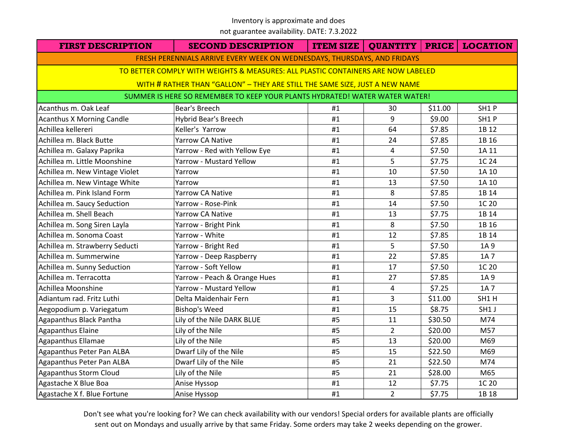not guarantee availability. DATE: 7.3.2022

| <b>FIRST DESCRIPTION</b>                                                         | <b>SECOND DESCRIPTION</b>                                                   |    | <b>ITEM SIZE   QUANTITY   PRICE   LOCATION</b> |         |       |  |  |
|----------------------------------------------------------------------------------|-----------------------------------------------------------------------------|----|------------------------------------------------|---------|-------|--|--|
|                                                                                  | FRESH PERENNIALS ARRIVE EVERY WEEK ON WEDNESDAYS, THURSDAYS, AND FRIDAYS    |    |                                                |         |       |  |  |
| TO BETTER COMPLY WITH WEIGHTS & MEASURES: ALL PLASTIC CONTAINERS ARE NOW LABELED |                                                                             |    |                                                |         |       |  |  |
|                                                                                  | WITH # RATHER THAN "GALLON" - THEY ARE STILL THE SAME SIZE, JUST A NEW NAME |    |                                                |         |       |  |  |
|                                                                                  | SUMMER IS HERE SO REMEMBER TO KEEP YOUR PLANTS HYDRATED! WATER WATER WATER! |    |                                                |         |       |  |  |
| Acanthus m. Oak Leaf                                                             | Bear's Breech                                                               | #1 | 30                                             | \$11.00 | SH1P  |  |  |
| <b>Acanthus X Morning Candle</b>                                                 | Hybrid Bear's Breech                                                        | #1 | 9                                              | \$9.00  | SH1P  |  |  |
| Achillea kellereri                                                               | Keller's Yarrow                                                             | #1 | 64                                             | \$7.85  | 1B 12 |  |  |
| Achillea m. Black Butte                                                          | Yarrow CA Native                                                            | #1 | 24                                             | \$7.85  | 1B 16 |  |  |
| Achillea m. Galaxy Paprika                                                       | Yarrow - Red with Yellow Eye                                                | #1 | $\overline{4}$                                 | \$7.50  | 1A 11 |  |  |
| Achillea m. Little Moonshine                                                     | <b>Yarrow - Mustard Yellow</b>                                              | #1 | 5                                              | \$7.75  | 1C 24 |  |  |
| Achillea m. New Vintage Violet                                                   | Yarrow                                                                      | #1 | 10                                             | \$7.50  | 1A 10 |  |  |
| Achillea m. New Vintage White                                                    | Yarrow                                                                      | #1 | 13                                             | \$7.50  | 1A 10 |  |  |
| Achillea m. Pink Island Form                                                     | Yarrow CA Native                                                            | #1 | 8                                              | \$7.85  | 1B 14 |  |  |
| Achillea m. Saucy Seduction                                                      | Yarrow - Rose-Pink                                                          | #1 | 14                                             | \$7.50  | 1C 20 |  |  |
| Achillea m. Shell Beach                                                          | Yarrow CA Native                                                            | #1 | 13                                             | \$7.75  | 1B 14 |  |  |
| Achillea m. Song Siren Layla                                                     | Yarrow - Bright Pink                                                        | #1 | 8                                              | \$7.50  | 1B 16 |  |  |
| Achillea m. Sonoma Coast                                                         | Yarrow - White                                                              | #1 | 12                                             | \$7.85  | 1B 14 |  |  |
| Achillea m. Strawberry Seducti                                                   | Yarrow - Bright Red                                                         | #1 | 5                                              | \$7.50  | 1A 9  |  |  |
| Achillea m. Summerwine                                                           | Yarrow - Deep Raspberry                                                     | #1 | 22                                             | \$7.85  | 1A 7  |  |  |
| Achillea m. Sunny Seduction                                                      | Yarrow - Soft Yellow                                                        | #1 | 17                                             | \$7.50  | 1C 20 |  |  |
| Achillea m. Terracotta                                                           | Yarrow - Peach & Orange Hues                                                | #1 | 27                                             | \$7.85  | 1A 9  |  |  |
| Achillea Moonshine                                                               | <b>Yarrow - Mustard Yellow</b>                                              | #1 | 4                                              | \$7.25  | 1A 7  |  |  |
| Adiantum rad. Fritz Luthi                                                        | Delta Maidenhair Fern                                                       | #1 | 3                                              | \$11.00 | SH1H  |  |  |
| Aegopodium p. Variegatum                                                         | <b>Bishop's Weed</b>                                                        | #1 | 15                                             | \$8.75  | SH1 J |  |  |
| Agapanthus Black Pantha                                                          | Lily of the Nile DARK BLUE                                                  | #5 | 11                                             | \$30.50 | M74   |  |  |
| Agapanthus Elaine                                                                | Lily of the Nile                                                            | #5 | $\overline{2}$                                 | \$20.00 | M57   |  |  |
| Agapanthus Ellamae                                                               | Lily of the Nile                                                            | #5 | 13                                             | \$20.00 | M69   |  |  |
| Agapanthus Peter Pan ALBA                                                        | Dwarf Lily of the Nile                                                      | #5 | 15                                             | \$22.50 | M69   |  |  |
| Agapanthus Peter Pan ALBA                                                        | Dwarf Lily of the Nile                                                      | #5 | 21                                             | \$22.50 | M74   |  |  |
| Agapanthus Storm Cloud                                                           | Lily of the Nile                                                            | #5 | 21                                             | \$28.00 | M65   |  |  |
| Agastache X Blue Boa                                                             | Anise Hyssop                                                                | #1 | 12                                             | \$7.75  | 1C 20 |  |  |
| Agastache X f. Blue Fortune                                                      | Anise Hyssop                                                                | #1 | $2^{\circ}$                                    | \$7.75  | 1B 18 |  |  |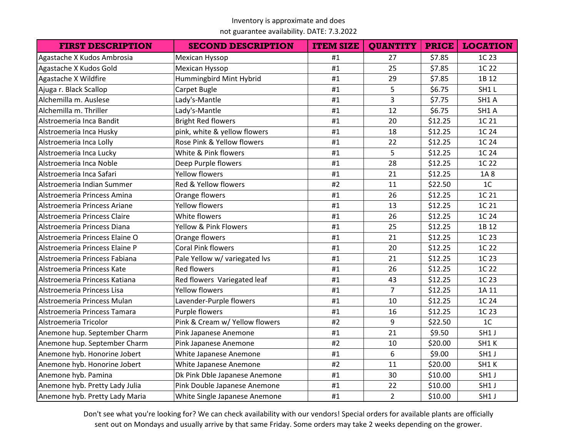not guarantee availability. DATE: 7.3.2022

| <b>FIRST DESCRIPTION</b>       | <b>SECOND DESCRIPTION</b>      | <b>ITEM SIZE</b> | <b>QUANTITY</b> | <b>PRICE</b> | <b>LOCATION</b> |
|--------------------------------|--------------------------------|------------------|-----------------|--------------|-----------------|
| Agastache X Kudos Ambrosia     | Mexican Hyssop                 | #1               | 27              | \$7.85       | 1C 23           |
| Agastache X Kudos Gold         | Mexican Hyssop                 | #1               | 25              | \$7.85       | 1C 22           |
| Agastache X Wildfire           | Hummingbird Mint Hybrid        | #1               | 29              | \$7.85       | 1B 12           |
| Ajuga r. Black Scallop         | Carpet Bugle                   | #1               | 5               | \$6.75       | SH1L            |
| Alchemilla m. Auslese          | Lady's-Mantle                  | #1               | 3               | \$7.75       | SH1 A           |
| Alchemilla m. Thriller         | Lady's-Mantle                  | #1               | 12              | \$6.75       | SH1 A           |
| Alstroemeria Inca Bandit       | <b>Bright Red flowers</b>      | #1               | 20              | \$12.25      | 1C 21           |
| Alstroemeria Inca Husky        | pink, white & yellow flowers   | #1               | 18              | \$12.25      | 1C 24           |
| Alstroemeria Inca Lolly        | Rose Pink & Yellow flowers     | #1               | 22              | \$12.25      | 1C 24           |
| Alstroemeria Inca Lucky        | White & Pink flowers           | #1               | 5               | \$12.25      | 1C 24           |
| Alstroemeria Inca Noble        | Deep Purple flowers            | #1               | 28              | \$12.25      | 1C 22           |
| Alstroemeria Inca Safari       | <b>Yellow flowers</b>          | #1               | 21              | \$12.25      | 1A8             |
| Alstroemeria Indian Summer     | Red & Yellow flowers           | #2               | 11              | \$22.50      | 1 <sup>C</sup>  |
| Alstroemeria Princess Amina    | Orange flowers                 | #1               | 26              | \$12.25      | 1C 21           |
| Alstroemeria Princess Ariane   | <b>Yellow flowers</b>          | #1               | 13              | \$12.25      | 1C 21           |
| Alstroemeria Princess Claire   | White flowers                  | #1               | 26              | \$12.25      | 1C 24           |
| Alstroemeria Princess Diana    | Yellow & Pink Flowers          | #1               | 25              | \$12.25      | 1B 12           |
| Alstroemeria Princess Elaine O | Orange flowers                 | #1               | 21              | \$12.25      | 1C 23           |
| Alstroemeria Princess Elaine P | <b>Coral Pink flowers</b>      | #1               | 20              | \$12.25      | 1C 22           |
| Alstroemeria Princess Fabiana  | Pale Yellow w/ variegated lvs  | #1               | 21              | \$12.25      | 1C 23           |
| Alstroemeria Princess Kate     | <b>Red flowers</b>             | #1               | 26              | \$12.25      | 1C 22           |
| Alstroemeria Princess Katiana  | Red flowers Variegated leaf    | #1               | 43              | \$12.25      | 1C 23           |
| Alstroemeria Princess Lisa     | <b>Yellow flowers</b>          | #1               | $\overline{7}$  | \$12.25      | 1A 11           |
| Alstroemeria Princess Mulan    | Lavender-Purple flowers        | #1               | 10              | \$12.25      | 1C 24           |
| Alstroemeria Princess Tamara   | Purple flowers                 | #1               | 16              | \$12.25      | 1C 23           |
| Alstroemeria Tricolor          | Pink & Cream w/ Yellow flowers | #2               | 9               | \$22.50      | 1 <sup>C</sup>  |
| Anemone hup. September Charm   | Pink Japanese Anemone          | #1               | 21              | \$9.50       | SH1 J           |
| Anemone hup. September Charm   | Pink Japanese Anemone          | #2               | 10              | \$20.00      | SH1K            |
| Anemone hyb. Honorine Jobert   | White Japanese Anemone         | #1               | 6               | \$9.00       | SH1 J           |
| Anemone hyb. Honorine Jobert   | White Japanese Anemone         | #2               | 11              | \$20.00      | SH1K            |
| Anemone hyb. Pamina            | Dk Pink Dble Japanese Anemone  | #1               | 30              | \$10.00      | SH1 J           |
| Anemone hyb. Pretty Lady Julia | Pink Double Japanese Anemone   | #1               | 22              | \$10.00      | SH1 J           |
| Anemone hyb. Pretty Lady Maria | White Single Japanese Anemone  | #1               | $\overline{2}$  | \$10.00      | SH1 J           |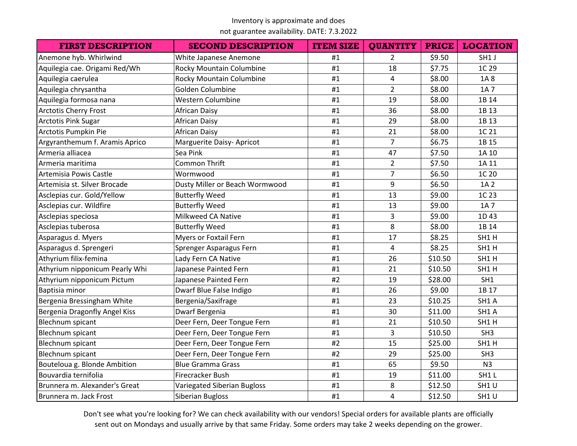## not guarantee availability. DATE: 7.3.2022

| <b>FIRST DESCRIPTION</b>       | <b>SECOND DESCRIPTION</b>          | <b>ITEM SIZE</b> | <b>QUANTITY</b> | <b>PRICE</b> | <b>LOCATION</b> |
|--------------------------------|------------------------------------|------------------|-----------------|--------------|-----------------|
| Anemone hyb. Whirlwind         | White Japanese Anemone             | #1               | $\overline{2}$  | \$9.50       | SH1 J           |
| Aquilegia cae. Origami Red/Wh  | Rocky Mountain Columbine           | #1               | 18              | \$7.75       | 1C 29           |
| Aquilegia caerulea             | Rocky Mountain Columbine           | #1               | 4               | \$8.00       | 1A8             |
| Aquilegia chrysantha           | Golden Columbine                   | #1               | $\overline{2}$  | \$8.00       | 1A 7            |
| Aquilegia formosa nana         | Western Columbine                  | #1               | 19              | \$8.00       | 1B 14           |
| <b>Arctotis Cherry Frost</b>   | African Daisy                      | #1               | 36              | \$8.00       | 1B 13           |
| <b>Arctotis Pink Sugar</b>     | <b>African Daisy</b>               | #1               | 29              | \$8.00       | 1B 13           |
| Arctotis Pumpkin Pie           | <b>African Daisy</b>               | #1               | 21              | \$8.00       | 1C 21           |
| Argyranthemum f. Aramis Aprico | Marguerite Daisy- Apricot          | #1               | $\overline{7}$  | \$6.75       | 1B 15           |
| Armeria alliacea               | Sea Pink                           | #1               | 47              | \$7.50       | 1A 10           |
| Armeria maritima               | <b>Common Thrift</b>               | #1               | $\overline{2}$  | \$7.50       | 1A 11           |
| Artemisia Powis Castle         | Wormwood                           | #1               | $\overline{7}$  | \$6.50       | 1C 20           |
| Artemisia st. Silver Brocade   | Dusty Miller or Beach Wormwood     | #1               | 9               | \$6.50       | 1A 2            |
| Asclepias cur. Gold/Yellow     | <b>Butterfly Weed</b>              | #1               | 13              | \$9.00       | 1C 23           |
| Asclepias cur. Wildfire        | <b>Butterfly Weed</b>              | #1               | 13              | \$9.00       | 1A 7            |
| Asclepias speciosa             | Milkweed CA Native                 | #1               | 3               | \$9.00       | 1D43            |
| Asclepias tuberosa             | <b>Butterfly Weed</b>              | #1               | 8               | \$8.00       | 1B 14           |
| Asparagus d. Myers             | <b>Myers or Foxtail Fern</b>       | #1               | 17              | \$8.25       | SH1H            |
| Asparagus d. Sprengeri         | Sprenger Asparagus Fern            | #1               | 4               | \$8.25       | SH1H            |
| Athyrium filix-femina          | Lady Fern CA Native                | #1               | 26              | \$10.50      | SH1H            |
| Athyrium nipponicum Pearly Whi | Japanese Painted Fern              | #1               | 21              | \$10.50      | SH1H            |
| Athyrium nipponicum Pictum     | Japanese Painted Fern              | #2               | 19              | \$28.00      | SH1             |
| Baptisia minor                 | Dwarf Blue False Indigo            | #1               | 26              | \$9.00       | 1B 17           |
| Bergenia Bressingham White     | Bergenia/Saxifrage                 | #1               | 23              | \$10.25      | SH1 A           |
| Bergenia Dragonfly Angel Kiss  | Dwarf Bergenia                     | #1               | 30              | \$11.00      | SH1 A           |
| Blechnum spicant               | Deer Fern, Deer Tongue Fern        | #1               | 21              | \$10.50      | SH1H            |
| Blechnum spicant               | Deer Fern, Deer Tongue Fern        | #1               | 3               | \$10.50      | SH <sub>3</sub> |
| <b>Blechnum spicant</b>        | Deer Fern, Deer Tongue Fern        | #2               | 15              | \$25.00      | SH1H            |
| Blechnum spicant               | Deer Fern, Deer Tongue Fern        | #2               | 29              | \$25.00      | SH <sub>3</sub> |
| Bouteloua g. Blonde Ambition   | <b>Blue Gramma Grass</b>           | #1               | 65              | \$9.50       | N <sub>3</sub>  |
| Bouvardia ternifolia           | Firecracker Bush                   | #1               | 19              | \$11.00      | SH1L            |
| Brunnera m. Alexander's Great  | <b>Variegated Siberian Bugloss</b> | #1               | 8               | \$12.50      | SH1U            |
| Brunnera m. Jack Frost         | Siberian Bugloss                   | #1               | 4               | \$12.50      | SH1U            |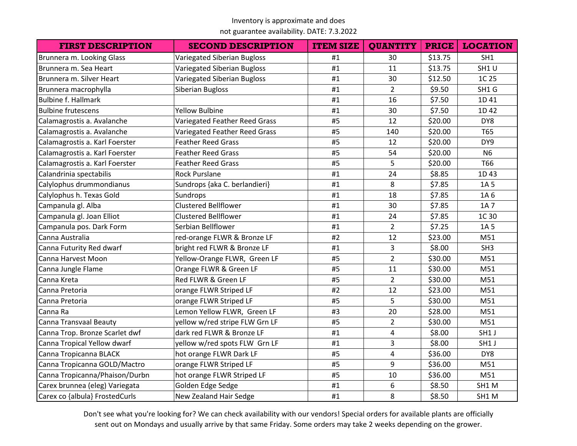not guarantee availability. DATE: 7.3.2022

| <b>FIRST DESCRIPTION</b>       | <b>SECOND DESCRIPTION</b>          | <b>ITEM SIZE</b> | <b>QUANTITY</b> | <b>PRICE</b> | <b>LOCATION</b> |
|--------------------------------|------------------------------------|------------------|-----------------|--------------|-----------------|
| Brunnera m. Looking Glass      | <b>Variegated Siberian Bugloss</b> | #1               | 30              | \$13.75      | SH1             |
| Brunnera m. Sea Heart          | <b>Variegated Siberian Bugloss</b> | #1               | 11              | \$13.75      | SH1U            |
| Brunnera m. Silver Heart       | <b>Variegated Siberian Bugloss</b> | #1               | 30              | \$12.50      | 1C 25           |
| Brunnera macrophylla           | Siberian Bugloss                   | #1               | $\overline{2}$  | \$9.50       | SH1 G           |
| <b>Bulbine f. Hallmark</b>     |                                    | #1               | 16              | \$7.50       | 1D 41           |
| <b>Bulbine frutescens</b>      | <b>Yellow Bulbine</b>              | #1               | 30              | \$7.50       | 1D 42           |
| Calamagrostis a. Avalanche     | Variegated Feather Reed Grass      | #5               | 12              | \$20.00      | DY8             |
| Calamagrostis a. Avalanche     | Variegated Feather Reed Grass      | #5               | 140             | \$20.00      | T65             |
| Calamagrostis a. Karl Foerster | <b>Feather Reed Grass</b>          | #5               | 12              | \$20.00      | DY9             |
| Calamagrostis a. Karl Foerster | <b>Feather Reed Grass</b>          | #5               | 54              | \$20.00      | <b>N6</b>       |
| Calamagrostis a. Karl Foerster | <b>Feather Reed Grass</b>          | #5               | 5               | \$20.00      | T66             |
| Calandrinia spectabilis        | <b>Rock Purslane</b>               | #1               | 24              | \$8.85       | 1D43            |
| Calylophus drummondianus       | Sundrops {aka C. berlandieri}      | #1               | 8               | \$7.85       | 1A 5            |
| Calylophus h. Texas Gold       | Sundrops                           | #1               | 18              | \$7.85       | 1A 6            |
| Campanula gl. Alba             | <b>Clustered Bellflower</b>        | #1               | 30              | \$7.85       | 1A 7            |
| Campanula gl. Joan Elliot      | <b>Clustered Bellflower</b>        | #1               | 24              | \$7.85       | 1C 30           |
| Campanula pos. Dark Form       | Serbian Bellflower                 | #1               | $\overline{2}$  | \$7.25       | 1A 5            |
| Canna Australia                | red-orange FLWR & Bronze LF        | #2               | 12              | \$23.00      | M51             |
| Canna Futurity Red dwarf       | bright red FLWR & Bronze LF        | #1               | 3               | \$8.00       | SH <sub>3</sub> |
| Canna Harvest Moon             | Yellow-Orange FLWR, Green LF       | #5               | $\overline{2}$  | \$30.00      | M51             |
| Canna Jungle Flame             | Orange FLWR & Green LF             | #5               | 11              | \$30.00      | M51             |
| Canna Kreta                    | Red FLWR & Green LF                | #5               | $\overline{2}$  | \$30.00      | M51             |
| Canna Pretoria                 | orange FLWR Striped LF             | #2               | 12              | \$23.00      | M51             |
| Canna Pretoria                 | orange FLWR Striped LF             | #5               | 5               | \$30.00      | M51             |
| Canna Ra                       | Lemon Yellow FLWR, Green LF        | #3               | 20              | \$28.00      | M51             |
| Canna Transvaal Beauty         | yellow w/red stripe FLW Grn LF     | #5               | $\overline{2}$  | \$30.00      | M51             |
| Canna Trop. Bronze Scarlet dwf | dark red FLWR & Bronze LF          | #1               | 4               | \$8.00       | SH1 J           |
| Canna Tropical Yellow dwarf    | yellow w/red spots FLW Grn LF      | #1               | 3               | \$8.00       | SH1 J           |
| Canna Tropicanna BLACK         | hot orange FLWR Dark LF            | #5               | 4               | \$36.00      | DY8             |
| Canna Tropicanna GOLD/Mactro   | orange FLWR Striped LF             | #5               | 9               | \$36.00      | M51             |
| Canna Tropicanna/Phaison/Durbn | hot orange FLWR Striped LF         | #5               | 10              | \$36.00      | M51             |
| Carex brunnea (eleg) Variegata | Golden Edge Sedge                  | #1               | 6               | \$8.50       | SH1 M           |
| Carex co {albula} FrostedCurls | New Zealand Hair Sedge             | #1               | 8               | \$8.50       | SH1 M           |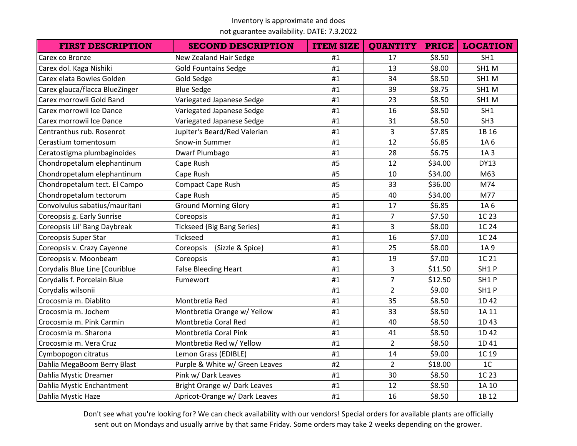not guarantee availability. DATE: 7.3.2022

| <b>FIRST DESCRIPTION</b>       | <b>SECOND DESCRIPTION</b>         | <b>ITEM SIZE</b> | <b>QUANTITY</b> | <b>PRICE</b> | <b>LOCATION</b> |
|--------------------------------|-----------------------------------|------------------|-----------------|--------------|-----------------|
| Carex co Bronze                | New Zealand Hair Sedge            | #1               | 17              | \$8.50       | SH1             |
| Carex dol. Kaga Nishiki        | <b>Gold Fountains Sedge</b>       | #1               | 13              | \$8.00       | SH1 M           |
| Carex elata Bowles Golden      | <b>Gold Sedge</b>                 | #1               | 34              | \$8.50       | SH1 M           |
| Carex glauca/flacca BlueZinger | <b>Blue Sedge</b>                 | #1               | 39              | \$8.75       | SH1M            |
| Carex morrowii Gold Band       | Variegated Japanese Sedge         | #1               | 23              | \$8.50       | SH1 M           |
| Carex morrowii Ice Dance       | Variegated Japanese Sedge         | #1               | 16              | \$8.50       | SH1             |
| Carex morrowii Ice Dance       | Variegated Japanese Sedge         | #1               | 31              | \$8.50       | SH3             |
| Centranthus rub. Rosenrot      | Jupiter's Beard/Red Valerian      | #1               | 3               | \$7.85       | 1B 16           |
| Cerastium tomentosum           | Snow-in Summer                    | #1               | 12              | \$6.85       | 1A 6            |
| Ceratostigma plumbaginoides    | Dwarf Plumbago                    | #1               | 28              | \$6.75       | 1A 3            |
| Chondropetalum elephantinum    | Cape Rush                         | #5               | 12              | \$34.00      | <b>DY13</b>     |
| Chondropetalum elephantinum    | Cape Rush                         | #5               | 10              | \$34.00      | M63             |
| Chondropetalum tect. El Campo  | <b>Compact Cape Rush</b>          | #5               | 33              | \$36.00      | M74             |
| Chondropetalum tectorum        | Cape Rush                         | #5               | 40              | \$34.00      | M77             |
| Convolvulus sabatius/mauritani | <b>Ground Morning Glory</b>       | #1               | 17              | \$6.85       | 1A 6            |
| Coreopsis g. Early Sunrise     | Coreopsis                         | #1               | $\overline{7}$  | \$7.50       | 1C 23           |
| Coreopsis Lil' Bang Daybreak   | <b>Tickseed {Big Bang Series}</b> | #1               | 3               | \$8.00       | 1C 24           |
| Coreopsis Super Star           | <b>Tickseed</b>                   | #1               | 16              | \$7.00       | 1C 24           |
| Coreopsis v. Crazy Cayenne     | {Sizzle & Spice}<br>Coreopsis     | #1               | 25              | \$8.00       | 1A 9            |
| Coreopsis v. Moonbeam          | Coreopsis                         | #1               | 19              | \$7.00       | 1C 21           |
| Corydalis Blue Line [Couriblue | <b>False Bleeding Heart</b>       | #1               | 3               | \$11.50      | SH1P            |
| Corydalis f. Porcelain Blue    | Fumewort                          | #1               | $\overline{7}$  | \$12.50      | SH1P            |
| Corydalis wilsonii             |                                   | #1               | $\overline{2}$  | \$9.00       | SH1P            |
| Crocosmia m. Diablito          | Montbretia Red                    | #1               | 35              | \$8.50       | 1D 42           |
| Crocosmia m. Jochem            | Montbretia Orange w/ Yellow       | #1               | 33              | \$8.50       | 1A 11           |
| Crocosmia m. Pink Carmin       | Montbretia Coral Red              | #1               | 40              | \$8.50       | 1D43            |
| Crocosmia m. Sharona           | Montbretia Coral Pink             | #1               | 41              | \$8.50       | 1D 42           |
| Crocosmia m. Vera Cruz         | Montbretia Red w/ Yellow          | #1               | $\overline{2}$  | \$8.50       | 1D 41           |
| Cymbopogon citratus            | Lemon Grass (EDIBLE)              | #1               | 14              | \$9.00       | 1C 19           |
| Dahlia MegaBoom Berry Blast    | Purple & White w/ Green Leaves    | #2               | $\overline{2}$  | \$18.00      | 1 <sup>C</sup>  |
| Dahlia Mystic Dreamer          | Pink w/ Dark Leaves               | #1               | 30              | \$8.50       | 1C 23           |
| Dahlia Mystic Enchantment      | Bright Orange w/ Dark Leaves      | #1               | 12              | \$8.50       | 1A 10           |
| Dahlia Mystic Haze             | Apricot-Orange w/ Dark Leaves     | #1               | 16              | \$8.50       | 1B 12           |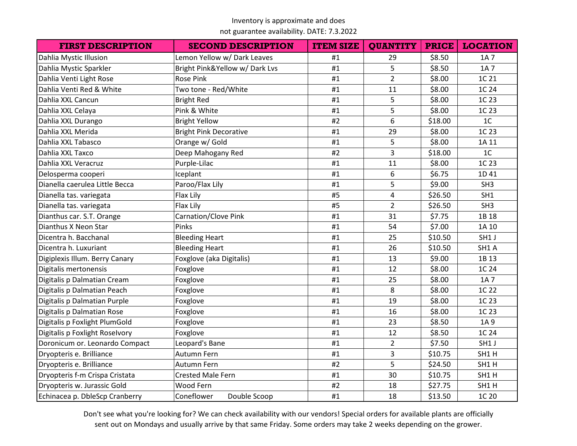not guarantee availability. DATE: 7.3.2022

| <b>FIRST DESCRIPTION</b>       | <b>SECOND DESCRIPTION</b>     | <b>ITEM SIZE</b> | <b>QUANTITY</b> | <b>PRICE</b> | <b>LOCATION</b> |
|--------------------------------|-------------------------------|------------------|-----------------|--------------|-----------------|
| Dahlia Mystic Illusion         | Lemon Yellow w/ Dark Leaves   | #1               | 29              | \$8.50       | 1A 7            |
| Dahlia Mystic Sparkler         | Bright Pink&Yellow w/Dark Lvs | #1               | 5               | \$8.50       | 1A 7            |
| Dahlia Venti Light Rose        | <b>Rose Pink</b>              | #1               | $\overline{2}$  | \$8.00       | 1C 21           |
| Dahlia Venti Red & White       | Two tone - Red/White          | #1               | 11              | \$8.00       | 1C 24           |
| Dahlia XXL Cancun              | <b>Bright Red</b>             | #1               | 5               | \$8.00       | 1C 23           |
| Dahlia XXL Celaya              | Pink & White                  | #1               | 5               | \$8.00       | 1C 23           |
| Dahlia XXL Durango             | <b>Bright Yellow</b>          | #2               | 6               | \$18.00      | 1 <sub>C</sub>  |
| Dahlia XXL Merida              | <b>Bright Pink Decorative</b> | #1               | 29              | \$8.00       | 1C 23           |
| Dahlia XXL Tabasco             | Orange w/ Gold                | #1               | 5               | \$8.00       | 1A 11           |
| Dahlia XXL Taxco               | Deep Mahogany Red             | #2               | 3               | \$18.00      | 1 <sup>C</sup>  |
| Dahlia XXL Veracruz            | Purple-Lilac                  | #1               | 11              | \$8.00       | 1C 23           |
| Delosperma cooperi             | Iceplant                      | #1               | 6               | \$6.75       | 1D 41           |
| Dianella caerulea Little Becca | Paroo/Flax Lily               | #1               | 5               | \$9.00       | SH <sub>3</sub> |
| Dianella tas. variegata        | Flax Lily                     | #5               | 4               | \$26.50      | SH <sub>1</sub> |
| Dianella tas. variegata        | Flax Lily                     | #5               | $\overline{2}$  | \$26.50      | SH <sub>3</sub> |
| Dianthus car. S.T. Orange      | Carnation/Clove Pink          | #1               | 31              | \$7.75       | 1B 18           |
| Dianthus X Neon Star           | Pinks                         | #1               | 54              | \$7.00       | 1A 10           |
| Dicentra h. Bacchanal          | <b>Bleeding Heart</b>         | #1               | 25              | \$10.50      | SH1 J           |
| Dicentra h. Luxuriant          | <b>Bleeding Heart</b>         | #1               | 26              | \$10.50      | SH1 A           |
| Digiplexis Illum. Berry Canary | Foxglove (aka Digitalis)      | #1               | 13              | \$9.00       | 1B 13           |
| Digitalis mertonensis          | Foxglove                      | #1               | 12              | \$8.00       | 1C 24           |
| Digitalis p Dalmatian Cream    | Foxglove                      | #1               | 25              | \$8.00       | 1A 7            |
| Digitalis p Dalmatian Peach    | Foxglove                      | #1               | 8               | \$8.00       | 1C 22           |
| Digitalis p Dalmatian Purple   | Foxglove                      | #1               | 19              | \$8.00       | 1C 23           |
| Digitalis p Dalmatian Rose     | Foxglove                      | #1               | 16              | \$8.00       | 1C 23           |
| Digitalis p Foxlight PlumGold  | Foxglove                      | #1               | 23              | \$8.50       | 1A 9            |
| Digitalis p Foxlight Roselvory | Foxglove                      | #1               | 12              | \$8.50       | 1C 24           |
| Doronicum or. Leonardo Compact | Leopard's Bane                | #1               | $\overline{2}$  | \$7.50       | SH1 J           |
| Dryopteris e. Brilliance       | Autumn Fern                   | #1               | $\overline{3}$  | \$10.75      | SH1H            |
| Dryopteris e. Brilliance       | Autumn Fern                   | #2               | 5               | \$24.50      | SH1H            |
| Dryopteris f-m Crispa Cristata | <b>Crested Male Fern</b>      | #1               | 30              | \$10.75      | SH1H            |
| Dryopteris w. Jurassic Gold    | Wood Fern                     | #2               | 18              | \$27.75      | SH1H            |
| Echinacea p. DbleScp Cranberry | Coneflower<br>Double Scoop    | #1               | 18              | \$13.50      | 1C 20           |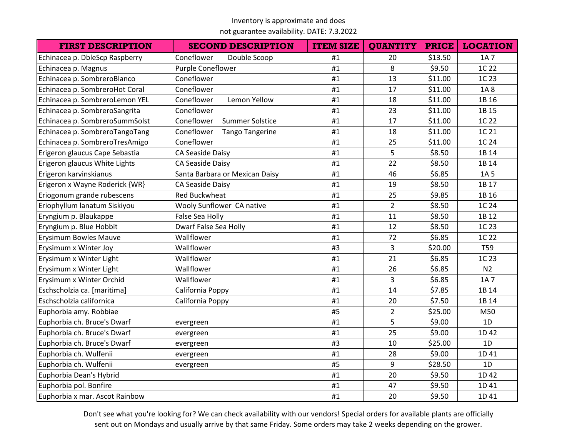not guarantee availability. DATE: 7.3.2022

| <b>FIRST DESCRIPTION</b>       | <b>SECOND DESCRIPTION</b>            | <b>ITEM SIZE</b> | <b>QUANTITY</b> | <b>PRICE</b> | <b>LOCATION</b> |
|--------------------------------|--------------------------------------|------------------|-----------------|--------------|-----------------|
| Echinacea p. DbleScp Raspberry | Coneflower<br>Double Scoop           | #1               | 20              | \$13.50      | 1A 7            |
| Echinacea p. Magnus            | Purple Coneflower                    | #1               | 8               | \$9.50       | 1C 22           |
| Echinacea p. SombreroBlanco    | Coneflower                           | #1               | 13              | \$11.00      | 1C 23           |
| Echinacea p. SombreroHot Coral | Coneflower                           | #1               | 17              | \$11.00      | 1A8             |
| Echinacea p. SombreroLemon YEL | Coneflower<br>Lemon Yellow           | #1               | 18              | \$11.00      | 1B 16           |
| Echinacea p. SombreroSangrita  | Coneflower                           | #1               | 23              | \$11.00      | 1B 15           |
| Echinacea p. SombreroSummSolst | Coneflower<br><b>Summer Solstice</b> | #1               | 17              | \$11.00      | 1C 22           |
| Echinacea p. SombreroTangoTang | Coneflower<br><b>Tango Tangerine</b> | #1               | 18              | \$11.00      | 1C 21           |
| Echinacea p. SombreroTresAmigo | Coneflower                           | #1               | 25              | \$11.00      | 1C 24           |
| Erigeron glaucus Cape Sebastia | CA Seaside Daisy                     | #1               | 5               | \$8.50       | 1B 14           |
| Erigeron glaucus White Lights  | CA Seaside Daisy                     | #1               | 22              | \$8.50       | 1B 14           |
| Erigeron karvinskianus         | Santa Barbara or Mexican Daisy       | #1               | 46              | \$6.85       | 1A 5            |
| Erigeron x Wayne Roderick {WR} | CA Seaside Daisy                     | #1               | 19              | \$8.50       | 1B 17           |
| Eriogonum grande rubescens     | <b>Red Buckwheat</b>                 | #1               | 25              | \$9.85       | 1B 16           |
| Eriophyllum lanatum Siskiyou   | Wooly Sunflower CA native            | #1               | $\overline{2}$  | \$8.50       | 1C 24           |
| Eryngium p. Blaukappe          | False Sea Holly                      | #1               | 11              | \$8.50       | 1B 12           |
| Eryngium p. Blue Hobbit        | Dwarf False Sea Holly                | #1               | 12              | \$8.50       | 1C 23           |
| <b>Erysimum Bowles Mauve</b>   | Wallflower                           | #1               | 72              | \$6.85       | 1C 22           |
| Erysimum x Winter Joy          | Wallflower                           | #3               | 3               | \$20.00      | <b>T59</b>      |
| Erysimum x Winter Light        | Wallflower                           | #1               | 21              | \$6.85       | 1C 23           |
| Erysimum x Winter Light        | Wallflower                           | #1               | 26              | \$6.85       | N <sub>2</sub>  |
| Erysimum x Winter Orchid       | Wallflower                           | #1               | 3               | \$6.85       | 1A 7            |
| Eschscholzia ca. [maritima]    | California Poppy                     | #1               | 14              | \$7.85       | 1B 14           |
| Eschscholzia californica       | California Poppy                     | #1               | 20              | \$7.50       | 1B 14           |
| Euphorbia amy. Robbiae         |                                      | #5               | $\overline{2}$  | \$25.00      | M50             |
| Euphorbia ch. Bruce's Dwarf    | evergreen                            | #1               | 5               | \$9.00       | 1D              |
| Euphorbia ch. Bruce's Dwarf    | evergreen                            | #1               | 25              | \$9.00       | 1D 42           |
| Euphorbia ch. Bruce's Dwarf    | evergreen                            | #3               | 10              | \$25.00      | 1D              |
| Euphorbia ch. Wulfenii         | evergreen                            | #1               | 28              | \$9.00       | 1D 41           |
| Euphorbia ch. Wulfenii         | evergreen                            | #5               | 9               | \$28.50      | 1D              |
| Euphorbia Dean's Hybrid        |                                      | #1               | 20              | \$9.50       | 1D 42           |
| Euphorbia pol. Bonfire         |                                      | #1               | 47              | \$9.50       | 1D 41           |
| Euphorbia x mar. Ascot Rainbow |                                      | #1               | 20              | \$9.50       | 1D 41           |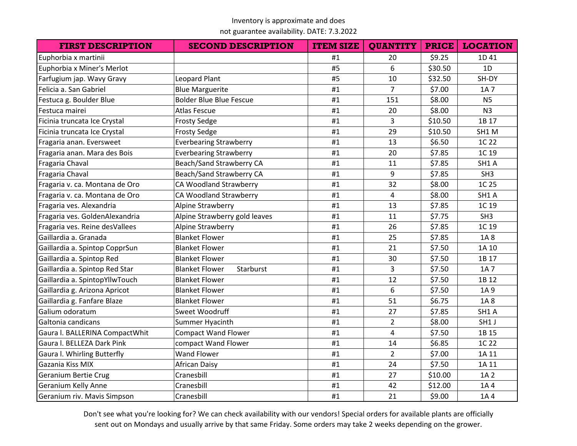not guarantee availability. DATE: 7.3.2022

| <b>FIRST DESCRIPTION</b>       | <b>SECOND DESCRIPTION</b>          | <b>ITEM SIZE</b> | <b>QUANTITY</b> | <b>PRICE</b> | <b>LOCATION</b> |
|--------------------------------|------------------------------------|------------------|-----------------|--------------|-----------------|
| Euphorbia x martinii           |                                    | #1               | 20              | \$9.25       | 1D 41           |
| Euphorbia x Miner's Merlot     |                                    | #5               | 6               | \$30.50      | 1D              |
| Farfugium jap. Wavy Gravy      | Leopard Plant                      | #5               | 10              | \$32.50      | SH-DY           |
| Felicia a. San Gabriel         | <b>Blue Marguerite</b>             | #1               | $\overline{7}$  | \$7.00       | 1A 7            |
| Festuca g. Boulder Blue        | <b>Bolder Blue Blue Fescue</b>     | #1               | 151             | \$8.00       | N <sub>5</sub>  |
| Festuca mairei                 | <b>Atlas Fescue</b>                | #1               | 20              | \$8.00       | N <sub>3</sub>  |
| Ficinia truncata Ice Crystal   | <b>Frosty Sedge</b>                | #1               | $\overline{3}$  | \$10.50      | 1B 17           |
| Ficinia truncata Ice Crystal   | <b>Frosty Sedge</b>                | #1               | 29              | \$10.50      | SH1 M           |
| Fragaria anan. Eversweet       | <b>Everbearing Strawberry</b>      | #1               | 13              | \$6.50       | 1C 22           |
| Fragaria anan. Mara des Bois   | <b>Everbearing Strawberry</b>      | #1               | 20              | \$7.85       | 1C 19           |
| Fragaria Chaval                | Beach/Sand Strawberry CA           | #1               | 11              | \$7.85       | SH1 A           |
| Fragaria Chaval                | Beach/Sand Strawberry CA           | #1               | 9               | \$7.85       | SH <sub>3</sub> |
| Fragaria v. ca. Montana de Oro | CA Woodland Strawberry             | #1               | 32              | \$8.00       | 1C 25           |
| Fragaria v. ca. Montana de Oro | CA Woodland Strawberry             | #1               | 4               | \$8.00       | SH1 A           |
| Fragaria ves. Alexandria       | Alpine Strawberry                  | #1               | 13              | \$7.85       | 1C 19           |
| Fragaria ves. GoldenAlexandria | Alpine Strawberry gold leaves      | #1               | 11              | \$7.75       | SH <sub>3</sub> |
| Fragaria ves. Reine desVallees | Alpine Strawberry                  | #1               | 26              | \$7.85       | 1C 19           |
| Gaillardia a. Granada          | <b>Blanket Flower</b>              | #1               | 25              | \$7.85       | 1A8             |
| Gaillardia a. Spintop CopprSun | <b>Blanket Flower</b>              | #1               | 21              | \$7.50       | 1A 10           |
| Gaillardia a. Spintop Red      | <b>Blanket Flower</b>              | #1               | 30              | \$7.50       | 1B 17           |
| Gaillardia a. Spintop Red Star | <b>Blanket Flower</b><br>Starburst | #1               | 3               | \$7.50       | 1A 7            |
| Gaillardia a. SpintopYllwTouch | <b>Blanket Flower</b>              | #1               | 12              | \$7.50       | 1B 12           |
| Gaillardia g. Arizona Apricot  | <b>Blanket Flower</b>              | #1               | 6               | \$7.50       | 1A 9            |
| Gaillardia g. Fanfare Blaze    | <b>Blanket Flower</b>              | #1               | 51              | \$6.75       | 1A8             |
| Galium odoratum                | Sweet Woodruff                     | #1               | 27              | \$7.85       | SH1 A           |
| Galtonia candicans             | Summer Hyacinth                    | #1               | $\overline{2}$  | \$8.00       | SH1 J           |
| Gaura I. BALLERINA CompactWhit | <b>Compact Wand Flower</b>         | #1               | $\overline{4}$  | \$7.50       | 1B 15           |
| Gaura I. BELLEZA Dark Pink     | compact Wand Flower                | #1               | 14              | \$6.85       | 1C 22           |
| Gaura I. Whirling Butterfly    | <b>Wand Flower</b>                 | #1               | $\overline{2}$  | \$7.00       | 1A 11           |
| Gazania Kiss MIX               | <b>African Daisy</b>               | #1               | 24              | \$7.50       | 1A 11           |
| Geranium Bertie Crug           | Cranesbill                         | #1               | 27              | \$10.00      | 1A 2            |
| Geranium Kelly Anne            | Cranesbill                         | #1               | 42              | \$12.00      | 1A 4            |
| Geranium riv. Mavis Simpson    | Cranesbill                         | #1               | 21              | \$9.00       | 1A4             |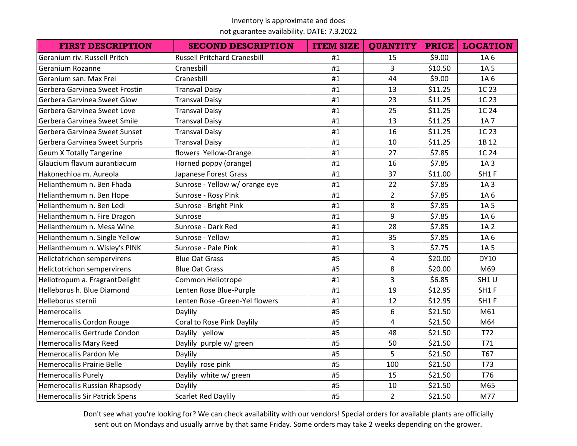not guarantee availability. DATE: 7.3.2022

| <b>FIRST DESCRIPTION</b>           | <b>SECOND DESCRIPTION</b>           | <b>ITEM SIZE</b> | <b>QUANTITY</b> | <b>PRICE</b> | <b>LOCATION</b> |
|------------------------------------|-------------------------------------|------------------|-----------------|--------------|-----------------|
| Geranium riv. Russell Pritch       | <b>Russell Pritchard Cranesbill</b> | #1               | 15              | \$9.00       | 1A 6            |
| Geranium Rozanne                   | Cranesbill                          | #1               | 3               | \$10.50      | 1A 5            |
| Geranium san. Max Frei             | Cranesbill                          | #1               | 44              | \$9.00       | 1A 6            |
| Gerbera Garvinea Sweet Frostin     | <b>Transval Daisy</b>               | #1               | 13              | \$11.25      | 1C 23           |
| Gerbera Garvinea Sweet Glow        | <b>Transval Daisy</b>               | #1               | 23              | \$11.25      | 1C 23           |
| Gerbera Garvinea Sweet Love        | <b>Transval Daisy</b>               | #1               | 25              | \$11.25      | 1C 24           |
| Gerbera Garvinea Sweet Smile       | <b>Transval Daisy</b>               | #1               | 13              | \$11.25      | 1A 7            |
| Gerbera Garvinea Sweet Sunset      | <b>Transval Daisy</b>               | #1               | 16              | \$11.25      | 1C 23           |
| Gerbera Garvinea Sweet Surpris     | <b>Transval Daisy</b>               | #1               | 10              | \$11.25      | 1B 12           |
| <b>Geum X Totally Tangerine</b>    | flowers Yellow-Orange               | #1               | 27              | \$7.85       | 1C 24           |
| Glaucium flavum aurantiacum        | Horned poppy (orange)               | #1               | 16              | \$7.85       | 1A 3            |
| Hakonechloa m. Aureola             | Japanese Forest Grass               | #1               | 37              | \$11.00      | SH1F            |
| Helianthemum n. Ben Fhada          | Sunrose - Yellow w/ orange eye      | #1               | 22              | \$7.85       | 1A 3            |
| Helianthemum n. Ben Hope           | Sunrose - Rosy Pink                 | #1               | $\overline{2}$  | \$7.85       | 1A 6            |
| Helianthemum n. Ben Ledi           | Sunrose - Bright Pink               | #1               | 8               | \$7.85       | 1A 5            |
| Helianthemum n. Fire Dragon        | Sunrose                             | #1               | 9               | \$7.85       | 1A 6            |
| Helianthemum n. Mesa Wine          | Sunrose - Dark Red                  | #1               | 28              | \$7.85       | 1A 2            |
| Helianthemum n. Single Yellow      | Sunrose - Yellow                    | #1               | 35              | \$7.85       | 1A 6            |
| Helianthemum n. Wisley's PINK      | Sunrose - Pale Pink                 | #1               | 3               | \$7.75       | 1A 5            |
| <b>Helictotrichon sempervirens</b> | <b>Blue Oat Grass</b>               | #5               | $\overline{4}$  | \$20.00      | <b>DY10</b>     |
| Helictotrichon sempervirens        | <b>Blue Oat Grass</b>               | #5               | 8               | \$20.00      | M69             |
| Heliotropum a. FragrantDelight     | Common Heliotrope                   | #1               | $\overline{3}$  | \$6.85       | SH1U            |
| Helleborus h. Blue Diamond         | Lenten Rose Blue-Purple             | #1               | 19              | \$12.95      | SH1F            |
| Helleborus sternii                 | Lenten Rose -Green-Yel flowers      | #1               | 12              | \$12.95      | SH1F            |
| Hemerocallis                       | Daylily                             | #5               | 6               | \$21.50      | M61             |
| Hemerocallis Cordon Rouge          | Coral to Rose Pink Daylily          | #5               | $\overline{4}$  | \$21.50      | M64             |
| Hemerocallis Gertrude Condon       | Daylily yellow                      | #5               | 48              | \$21.50      | T72             |
| <b>Hemerocallis Mary Reed</b>      | Daylily purple w/ green             | #5               | 50              | \$21.50      | T71             |
| Hemerocallis Pardon Me             | Daylily                             | #5               | 5               | \$21.50      | T67             |
| <b>Hemerocallis Prairie Belle</b>  | Daylily rose pink                   | #5               | 100             | \$21.50      | <b>T73</b>      |
| <b>Hemerocallis Purely</b>         | Daylily white w/ green              | #5               | 15              | \$21.50      | T76             |
| Hemerocallis Russian Rhapsody      | Daylily                             | #5               | 10              | \$21.50      | M65             |
| Hemerocallis Sir Patrick Spens     | <b>Scarlet Red Daylily</b>          | #5               | $\overline{2}$  | \$21.50      | M77             |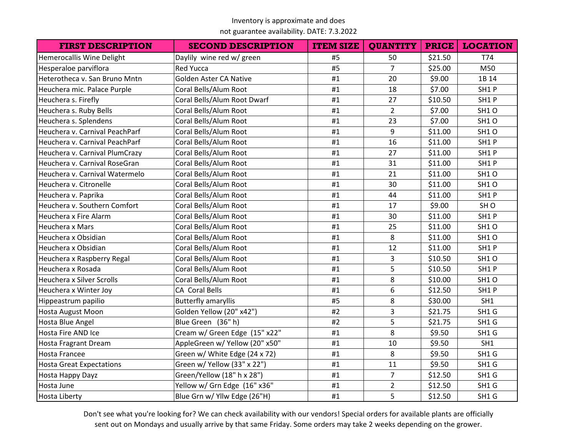not guarantee availability. DATE: 7.3.2022

| <b>FIRST DESCRIPTION</b>         | <b>SECOND DESCRIPTION</b>      | <b>ITEM SIZE</b> | <b>QUANTITY</b> | <b>PRICE</b> | <b>LOCATION</b>   |
|----------------------------------|--------------------------------|------------------|-----------------|--------------|-------------------|
| Hemerocallis Wine Delight        | Daylily wine red w/ green      | #5               | 50              | \$21.50      | T74               |
| Hesperaloe parviflora            | <b>Red Yucca</b>               | #5               | $\overline{7}$  | \$25.00      | M50               |
| Heterotheca v. San Bruno Mntn    | Golden Aster CA Native         | #1               | 20              | \$9.00       | 1B 14             |
| Heuchera mic. Palace Purple      | Coral Bells/Alum Root          | #1               | 18              | \$7.00       | SH1P              |
| Heuchera s. Firefly              | Coral Bells/Alum Root Dwarf    | #1               | 27              | \$10.50      | SH1P              |
| Heuchera s. Ruby Bells           | Coral Bells/Alum Root          | #1               | $\overline{2}$  | \$7.00       | SH1O              |
| Heuchera s. Splendens            | Coral Bells/Alum Root          | #1               | 23              | \$7.00       | SH1O              |
| Heuchera v. Carnival PeachParf   | Coral Bells/Alum Root          | #1               | 9               | \$11.00      | SH1O              |
| Heuchera v. Carnival PeachParf   | Coral Bells/Alum Root          | #1               | 16              | \$11.00      | SH1P              |
| Heuchera v. Carnival PlumCrazy   | Coral Bells/Alum Root          | #1               | 27              | \$11.00      | SH1P              |
| Heuchera v. Carnival RoseGran    | Coral Bells/Alum Root          | #1               | 31              | \$11.00      | SH1P              |
| Heuchera v. Carnival Watermelo   | Coral Bells/Alum Root          | #1               | 21              | \$11.00      | SH1O              |
| Heuchera v. Citronelle           | Coral Bells/Alum Root          | #1               | 30              | \$11.00      | SH1O              |
| Heuchera v. Paprika              | Coral Bells/Alum Root          | #1               | 44              | \$11.00      | SH1P              |
| Heuchera v. Southern Comfort     | Coral Bells/Alum Root          | #1               | 17              | \$9.00       | SH <sub>O</sub>   |
| Heuchera x Fire Alarm            | Coral Bells/Alum Root          | #1               | 30              | \$11.00      | SH1P              |
| Heuchera x Mars                  | Coral Bells/Alum Root          | #1               | 25              | \$11.00      | SH1O              |
| Heuchera x Obsidian              | Coral Bells/Alum Root          | #1               | 8               | \$11.00      | SH1O              |
| Heuchera x Obsidian              | Coral Bells/Alum Root          | #1               | 12              | \$11.00      | SH1P              |
| Heuchera x Raspberry Regal       | Coral Bells/Alum Root          | #1               | 3               | \$10.50      | SH <sub>1</sub> O |
| Heuchera x Rosada                | Coral Bells/Alum Root          | #1               | 5               | \$10.50      | SH1P              |
| <b>Heuchera x Silver Scrolls</b> | Coral Bells/Alum Root          | #1               | 8               | \$10.00      | SH1O              |
| Heuchera x Winter Joy            | CA Coral Bells                 | #1               | 6               | \$12.50      | SH1P              |
| Hippeastrum papilio              | <b>Butterfly amaryllis</b>     | #5               | 8               | \$30.00      | SH1               |
| Hosta August Moon                | Golden Yellow (20" x42")       | #2               | 3               | \$21.75      | SH1 G             |
| Hosta Blue Angel                 | Blue Green (36" h)             | #2               | 5               | \$21.75      | SH1 G             |
| Hosta Fire AND Ice               | Cream w/ Green Edge (15" x22"  | #1               | 8               | \$9.50       | SH1 G             |
| <b>Hosta Fragrant Dream</b>      | AppleGreen w/ Yellow (20" x50" | #1               | 10              | \$9.50       | SH1               |
| <b>Hosta Francee</b>             | Green w/ White Edge (24 x 72)  | #1               | 8               | \$9.50       | SH1 G             |
| <b>Hosta Great Expectations</b>  | Green w/ Yellow (33" x 22")    | #1               | 11              | \$9.50       | SH1 G             |
| Hosta Happy Dayz                 | Green/Yellow (18" h x 28")     | #1               | $\overline{7}$  | \$12.50      | SH1 G             |
| Hosta June                       | Yellow w/ Grn Edge (16" x36"   | #1               | $\overline{2}$  | \$12.50      | SH1 G             |
| <b>Hosta Liberty</b>             | Blue Grn w/ Yllw Edge (26"H)   | #1               | 5               | \$12.50      | SH1 G             |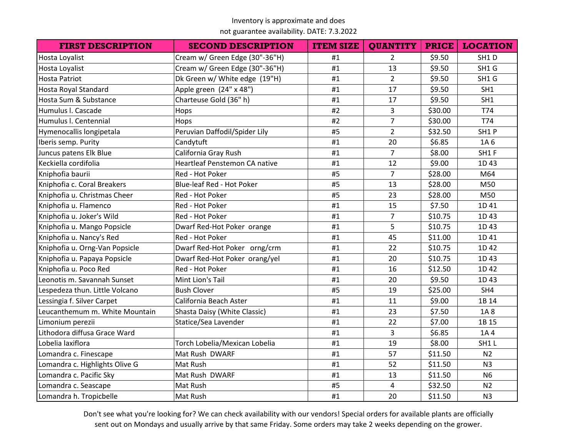not guarantee availability. DATE: 7.3.2022

| <b>FIRST DESCRIPTION</b>       | <b>SECOND DESCRIPTION</b>      | <b>ITEM SIZE</b> | <b>QUANTITY</b> | <b>PRICE</b> | <b>LOCATION</b> |
|--------------------------------|--------------------------------|------------------|-----------------|--------------|-----------------|
| <b>Hosta Loyalist</b>          | Cream w/ Green Edge (30"-36"H) | #1               | $\overline{2}$  | \$9.50       | SH1D            |
| Hosta Loyalist                 | Cream w/ Green Edge (30"-36"H) | #1               | 13              | \$9.50       | SH1 G           |
| <b>Hosta Patriot</b>           | Dk Green w/ White edge (19"H)  | #1               | $\overline{2}$  | \$9.50       | SH1 G           |
| <b>Hosta Royal Standard</b>    | Apple green (24" x 48")        | #1               | 17              | \$9.50       | SH1             |
| Hosta Sum & Substance          | Charteuse Gold (36" h)         | #1               | 17              | \$9.50       | SH1             |
| Humulus I. Cascade             | Hops                           | #2               | $\overline{3}$  | \$30.00      | T74             |
| Humulus I. Centennial          | Hops                           | #2               | $\overline{7}$  | \$30.00      | T74             |
| Hymenocallis longipetala       | Peruvian Daffodil/Spider Lily  | #5               | $\overline{2}$  | \$32.50      | SH1P            |
| Iberis semp. Purity            | Candytuft                      | #1               | 20              | \$6.85       | 1A 6            |
| Juncus patens Elk Blue         | California Gray Rush           | #1               | $\overline{7}$  | \$8.00       | SH1F            |
| Keckiella cordifolia           | Heartleaf Penstemon CA native  | #1               | 12              | \$9.00       | 1D43            |
| Kniphofia baurii               | Red - Hot Poker                | #5               | $\overline{7}$  | \$28.00      | M64             |
| Kniphofia c. Coral Breakers    | Blue-leaf Red - Hot Poker      | #5               | 13              | \$28.00      | M50             |
| Kniphofia u. Christmas Cheer   | Red - Hot Poker                | #5               | 23              | \$28.00      | M50             |
| Kniphofia u. Flamenco          | Red - Hot Poker                | #1               | 15              | \$7.50       | 1D 41           |
| Kniphofia u. Joker's Wild      | Red - Hot Poker                | #1               | $\overline{7}$  | \$10.75      | 1D43            |
| Kniphofia u. Mango Popsicle    | Dwarf Red-Hot Poker orange     | #1               | 5               | \$10.75      | 1D43            |
| Kniphofia u. Nancy's Red       | Red - Hot Poker                | #1               | 45              | \$11.00      | 1D 41           |
| Kniphofia u. Orng-Van Popsicle | Dwarf Red-Hot Poker orng/crm   | #1               | 22              | \$10.75      | 1D 42           |
| Kniphofia u. Papaya Popsicle   | Dwarf Red-Hot Poker orang/yel  | #1               | 20              | \$10.75      | 1D43            |
| Kniphofia u. Poco Red          | Red - Hot Poker                | #1               | 16              | \$12.50      | 1D 42           |
| Leonotis m. Savannah Sunset    | Mint Lion's Tail               | #1               | 20              | \$9.50       | 1D43            |
| Lespedeza thun. Little Volcano | <b>Bush Clover</b>             | #5               | 19              | \$25.00      | SH4             |
| Lessingia f. Silver Carpet     | California Beach Aster         | #1               | 11              | \$9.00       | 1B 14           |
| Leucanthemum m. White Mountain | Shasta Daisy (White Classic)   | #1               | 23              | \$7.50       | 1A8             |
| Limonium perezii               | Statice/Sea Lavender           | #1               | 22              | \$7.00       | 1B 15           |
| Lithodora diffusa Grace Ward   |                                | #1               | $\overline{3}$  | \$6.85       | 1A4             |
| Lobelia laxiflora              | Torch Lobelia/Mexican Lobelia  | #1               | 19              | \$8.00       | SH1L            |
| Lomandra c. Finescape          | Mat Rush DWARF                 | #1               | 57              | \$11.50      | N <sub>2</sub>  |
| Lomandra c. Highlights Olive G | Mat Rush                       | #1               | 52              | \$11.50      | N <sub>3</sub>  |
| Lomandra c. Pacific Sky        | Mat Rush DWARF                 | #1               | 13              | \$11.50      | <b>N6</b>       |
| Lomandra c. Seascape           | Mat Rush                       | #5               | 4               | \$32.50      | N <sub>2</sub>  |
| Lomandra h. Tropicbelle        | Mat Rush                       | #1               | 20              | \$11.50      | N <sub>3</sub>  |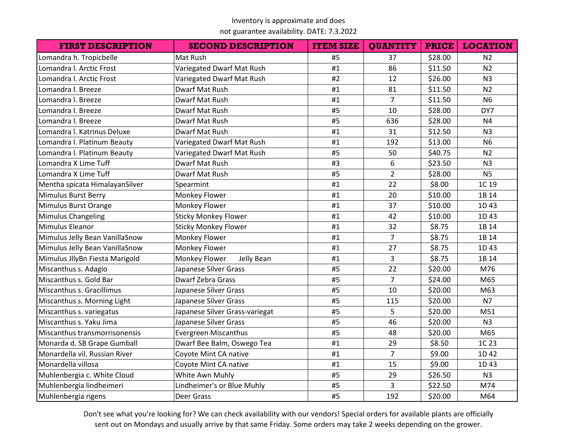## not guarantee availability. DATE: 7.3.2022

| <b>FIRST DESCRIPTION</b>       | <b>SECOND DESCRIPTION</b>      | <b>ITEM SIZE</b> | <b>QUANTITY</b> | <b>PRICE</b> | <b>LOCATION</b> |
|--------------------------------|--------------------------------|------------------|-----------------|--------------|-----------------|
| Lomandra h. Tropicbelle        | Mat Rush                       | #5               | 37              | \$28.00      | N <sub>2</sub>  |
| Lomandra I. Arctic Frost       | Variegated Dwarf Mat Rush      | #1               | 86              | \$11.50      | N <sub>2</sub>  |
| Lomandra l. Arctic Frost       | Variegated Dwarf Mat Rush      | #2               | 12              | \$26.00      | N <sub>3</sub>  |
| Lomandra I. Breeze             | Dwarf Mat Rush                 | #1               | 81              | \$11.50      | N <sub>2</sub>  |
| Lomandra I. Breeze             | Dwarf Mat Rush                 | #1               | $\overline{7}$  | \$11.50      | <b>N6</b>       |
| Lomandra I. Breeze             | Dwarf Mat Rush                 | #5               | 10              | \$28.00      | DY7             |
| Lomandra I. Breeze             | Dwarf Mat Rush                 | #5               | 636             | \$28.00      | N <sub>4</sub>  |
| Lomandra I. Katrinus Deluxe    | Dwarf Mat Rush                 | #1               | 31              | \$12.50      | N <sub>3</sub>  |
| Lomandra I. Platinum Beauty    | Variegated Dwarf Mat Rush      | #1               | 192             | \$13.00      | <b>N6</b>       |
| Lomandra I. Platinum Beauty    | Variegated Dwarf Mat Rush      | #5               | 50              | \$40.75      | N <sub>2</sub>  |
| Lomandra X Lime Tuff           | Dwarf Mat Rush                 | #3               | 6               | \$23.50      | N <sub>3</sub>  |
| Lomandra X Lime Tuff           | Dwarf Mat Rush                 | #5               | $\overline{2}$  | \$28.00      | N <sub>5</sub>  |
| Mentha spicata HimalayanSilver | Spearmint                      | #1               | 22              | \$8.00       | 1C 19           |
| Mimulus Burst Berry            | Monkey Flower                  | #1               | 20              | \$10.00      | 1B 14           |
| Mimulus Burst Orange           | Monkey Flower                  | #1               | 37              | \$10.00      | 1D43            |
| <b>Mimulus Changeling</b>      | <b>Sticky Monkey Flower</b>    | #1               | 42              | \$10.00      | 1D43            |
| Mimulus Eleanor                | <b>Sticky Monkey Flower</b>    | #1               | 32              | \$8.75       | 1B 14           |
| Mimulus Jelly Bean VanillaSnow | Monkey Flower                  | #1               | $\overline{7}$  | \$8.75       | 1B 14           |
| Mimulus Jelly Bean VanillaSnow | Monkey Flower                  | #1               | 27              | \$8.75       | 1D43            |
| Mimulus JllyBn Fiesta Marigold | Monkey Flower<br>Jelly Bean    | #1               | $\overline{3}$  | \$8.75       | 1B 14           |
| Miscanthus s. Adagio           | Japanese Silver Grass          | #5               | 22              | \$20.00      | M76             |
| Miscanthus s. Gold Bar         | <b>Dwarf Zebra Grass</b>       | #5               | $\overline{7}$  | \$24.00      | M65             |
| Miscanthus s. Gracillimus      | Japanese Silver Grass          | #5               | 10              | \$20.00      | M63             |
| Miscanthus s. Morning Light    | Japanese Silver Grass          | #5               | 115             | \$20.00      | N <sub>7</sub>  |
| Miscanthus s. variegatus       | Japanese Silver Grass-variegat | #5               | 5               | \$20.00      | M51             |
| Miscanthus s. Yaku Jima        | Japanese Silver Grass          | #5               | 46              | \$20.00      | N <sub>3</sub>  |
| Miscanthus transmorrisonensis  | <b>Evergreen Miscanthus</b>    | #5               | 48              | \$20.00      | M65             |
| Monarda d. SB Grape Gumball    | Dwarf Bee Balm, Oswego Tea     | #1               | 29              | \$8.50       | 1C 23           |
| Monardella vil. Russian River  | Coyote Mint CA native          | #1               | $\overline{7}$  | \$9.00       | 1D 42           |
| Monardella villosa             | Coyote Mint CA native          | #1               | 15              | \$9.00       | 1D43            |
| Muhlenbergia c. White Cloud    | White Awn Muhly                | #5               | 29              | \$26.50      | N <sub>3</sub>  |
| Muhlenbergia lindheimeri       | Lindheimer's or Blue Muhly     | #5               | 3               | \$22.50      | M74             |
| Muhlenbergia rigens            | Deer Grass                     | #5               | 192             | \$20.00      | M64             |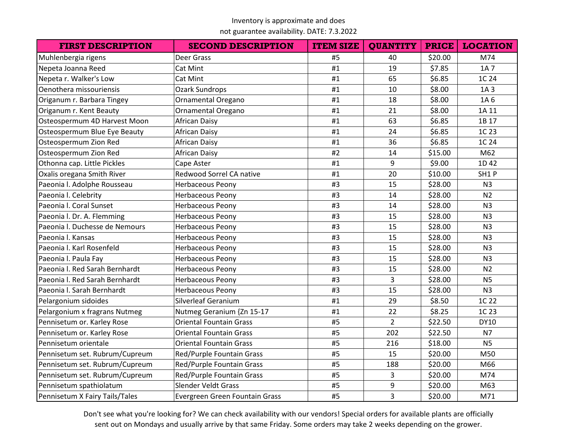not guarantee availability. DATE: 7.3.2022

| <b>FIRST DESCRIPTION</b>       | <b>SECOND DESCRIPTION</b>      | <b>ITEM SIZE</b> | <b>QUANTITY</b> | <b>PRICE</b> | <b>LOCATION</b> |
|--------------------------------|--------------------------------|------------------|-----------------|--------------|-----------------|
| Muhlenbergia rigens            | Deer Grass                     | #5               | 40              | \$20.00      | M74             |
| Nepeta Joanna Reed             | Cat Mint                       | #1               | 19              | \$7.85       | 1A 7            |
| Nepeta r. Walker's Low         | Cat Mint                       | #1               | 65              | \$6.85       | 1C 24           |
| Oenothera missouriensis        | <b>Ozark Sundrops</b>          | #1               | 10              | \$8.00       | 1A <sub>3</sub> |
| Origanum r. Barbara Tingey     | <b>Ornamental Oregano</b>      | #1               | 18              | \$8.00       | 1A 6            |
| Origanum r. Kent Beauty        | Ornamental Oregano             | #1               | 21              | \$8.00       | 1A 11           |
| Osteospermum 4D Harvest Moon   | <b>African Daisy</b>           | #1               | 63              | \$6.85       | 1B 17           |
| Osteospermum Blue Eye Beauty   | <b>African Daisy</b>           | #1               | 24              | \$6.85       | 1C 23           |
| Osteospermum Zion Red          | <b>African Daisy</b>           | #1               | 36              | \$6.85       | 1C 24           |
| Osteospermum Zion Red          | African Daisy                  | #2               | 14              | \$15.00      | M62             |
| Othonna cap. Little Pickles    | Cape Aster                     | #1               | 9               | \$9.00       | 1D 42           |
| Oxalis oregana Smith River     | Redwood Sorrel CA native       | #1               | 20              | \$10.00      | SH1P            |
| Paeonia I. Adolphe Rousseau    | <b>Herbaceous Peony</b>        | #3               | 15              | \$28.00      | N <sub>3</sub>  |
| Paeonia I. Celebrity           | <b>Herbaceous Peony</b>        | #3               | 14              | \$28.00      | N <sub>2</sub>  |
| Paeonia I. Coral Sunset        | Herbaceous Peony               | #3               | 14              | \$28.00      | N <sub>3</sub>  |
| Paeonia I. Dr. A. Flemming     | Herbaceous Peony               | #3               | 15              | \$28.00      | N <sub>3</sub>  |
| Paeonia I. Duchesse de Nemours | Herbaceous Peony               | #3               | 15              | \$28.00      | N <sub>3</sub>  |
| Paeonia I. Kansas              | Herbaceous Peony               | #3               | 15              | \$28.00      | N <sub>3</sub>  |
| Paeonia I. Karl Rosenfeld      | <b>Herbaceous Peony</b>        | #3               | 15              | \$28.00      | N <sub>3</sub>  |
| Paeonia I. Paula Fay           | <b>Herbaceous Peony</b>        | #3               | 15              | \$28.00      | N <sub>3</sub>  |
| Paeonia I. Red Sarah Bernhardt | Herbaceous Peony               | #3               | 15              | \$28.00      | N <sub>2</sub>  |
| Paeonia I. Red Sarah Bernhardt | Herbaceous Peony               | #3               | $\overline{3}$  | \$28.00      | <b>N5</b>       |
| Paeonia I. Sarah Bernhardt     | Herbaceous Peony               | #3               | 15              | \$28.00      | N <sub>3</sub>  |
| Pelargonium sidoides           | Silverleaf Geranium            | #1               | 29              | \$8.50       | 1C 22           |
| Pelargonium x fragrans Nutmeg  | Nutmeg Geranium {Zn 15-17      | #1               | 22              | \$8.25       | 1C 23           |
| Pennisetum or. Karley Rose     | <b>Oriental Fountain Grass</b> | #5               | $\overline{2}$  | \$22.50      | <b>DY10</b>     |
| Pennisetum or. Karley Rose     | <b>Oriental Fountain Grass</b> | #5               | 202             | \$22.50      | <b>N7</b>       |
| Pennisetum orientale           | <b>Oriental Fountain Grass</b> | #5               | 216             | \$18.00      | <b>N5</b>       |
| Pennisetum set. Rubrum/Cupreum | Red/Purple Fountain Grass      | #5               | 15              | \$20.00      | M50             |
| Pennisetum set. Rubrum/Cupreum | Red/Purple Fountain Grass      | #5               | 188             | \$20.00      | M66             |
| Pennisetum set. Rubrum/Cupreum | Red/Purple Fountain Grass      | #5               | 3               | \$20.00      | M74             |
| Pennisetum spathiolatum        | Slender Veldt Grass            | #5               | 9               | \$20.00      | M63             |
| Pennisetum X Fairy Tails/Tales | Evergreen Green Fountain Grass | #5               | 3               | \$20.00      | M71             |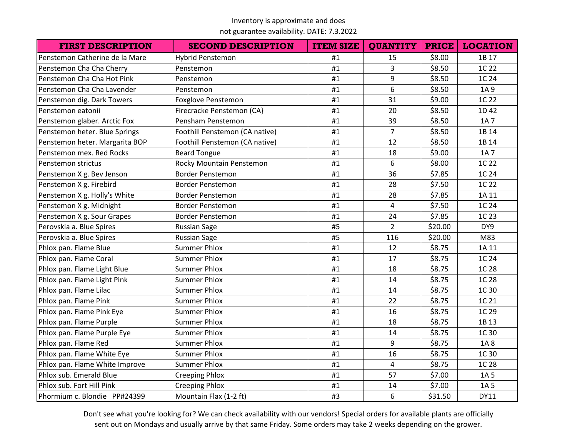## not guarantee availability. DATE: 7.3.2022

| <b>FIRST DESCRIPTION</b>       | <b>SECOND DESCRIPTION</b>      | <b>ITEM SIZE</b> | <b>QUANTITY</b> | <b>PRICE</b> | <b>LOCATION</b> |
|--------------------------------|--------------------------------|------------------|-----------------|--------------|-----------------|
| Penstemon Catherine de la Mare | Hybrid Penstemon               | #1               | 15              | \$8.00       | 1B 17           |
| Penstemon Cha Cha Cherry       | Penstemon                      | #1               | 3               | \$8.50       | 1C 22           |
| Penstemon Cha Cha Hot Pink     | Penstemon                      | #1               | 9               | \$8.50       | 1C 24           |
| Penstemon Cha Cha Lavender     | Penstemon                      | #1               | 6               | \$8.50       | 1A 9            |
| Penstemon dig. Dark Towers     | Foxglove Penstemon             | #1               | 31              | \$9.00       | 1C 22           |
| Penstemon eatonii              | Firecracke Penstemon (CA)      | #1               | 20              | \$8.50       | 1D 42           |
| Penstemon glaber. Arctic Fox   | Pensham Penstemon              | #1               | 39              | \$8.50       | 1A 7            |
| Penstemon heter. Blue Springs  | Foothill Penstemon (CA native) | #1               | $\overline{7}$  | \$8.50       | 1B 14           |
| Penstemon heter. Margarita BOP | Foothill Penstemon (CA native) | #1               | 12              | \$8.50       | 1B 14           |
| Penstemon mex. Red Rocks       | <b>Beard Tongue</b>            | #1               | 18              | \$9.00       | 1A 7            |
| Penstemon strictus             | Rocky Mountain Penstemon       | #1               | 6               | \$8.00       | 1C 22           |
| Penstemon X g. Bev Jenson      | <b>Border Penstemon</b>        | #1               | 36              | \$7.85       | 1C 24           |
| Penstemon X g. Firebird        | <b>Border Penstemon</b>        | #1               | 28              | \$7.50       | 1C 22           |
| Penstemon X g. Holly's White   | <b>Border Penstemon</b>        | #1               | 28              | \$7.85       | 1A 11           |
| Penstemon X g. Midnight        | <b>Border Penstemon</b>        | #1               | 4               | \$7.50       | 1C 24           |
| Penstemon X g. Sour Grapes     | <b>Border Penstemon</b>        | #1               | 24              | \$7.85       | 1C 23           |
| Perovskia a. Blue Spires       | <b>Russian Sage</b>            | #5               | $\overline{2}$  | \$20.00      | DY9             |
| Perovskia a. Blue Spires       | <b>Russian Sage</b>            | #5               | 116             | \$20.00      | M83             |
| Phlox pan. Flame Blue          | <b>Summer Phlox</b>            | #1               | 12              | \$8.75       | 1A 11           |
| Phlox pan. Flame Coral         | <b>Summer Phlox</b>            | #1               | 17              | \$8.75       | 1C 24           |
| Phlox pan. Flame Light Blue    | <b>Summer Phlox</b>            | #1               | 18              | \$8.75       | 1C 28           |
| Phlox pan. Flame Light Pink    | <b>Summer Phlox</b>            | #1               | 14              | \$8.75       | 1C 28           |
| Phlox pan. Flame Lilac         | <b>Summer Phlox</b>            | #1               | 14              | \$8.75       | 1C 30           |
| Phlox pan. Flame Pink          | <b>Summer Phlox</b>            | #1               | 22              | \$8.75       | 1C 21           |
| Phlox pan. Flame Pink Eye      | <b>Summer Phlox</b>            | #1               | 16              | \$8.75       | 1C 29           |
| Phlox pan. Flame Purple        | <b>Summer Phlox</b>            | #1               | 18              | \$8.75       | 1B 13           |
| Phlox pan. Flame Purple Eye    | <b>Summer Phlox</b>            | #1               | 14              | \$8.75       | 1C 30           |
| Phlox pan. Flame Red           | <b>Summer Phlox</b>            | #1               | 9               | \$8.75       | 1A8             |
| Phlox pan. Flame White Eye     | <b>Summer Phlox</b>            | #1               | 16              | \$8.75       | 1C 30           |
| Phlox pan. Flame White Improve | <b>Summer Phlox</b>            | #1               | 4               | \$8.75       | 1C 28           |
| Phlox sub. Emerald Blue        | <b>Creeping Phlox</b>          | #1               | 57              | \$7.00       | 1A 5            |
| Phlox sub. Fort Hill Pink      | <b>Creeping Phlox</b>          | #1               | 14              | \$7.00       | 1A 5            |
| Phormium c. Blondie PP#24399   | Mountain Flax (1-2 ft)         | #3               | 6               | \$31.50      | DY11            |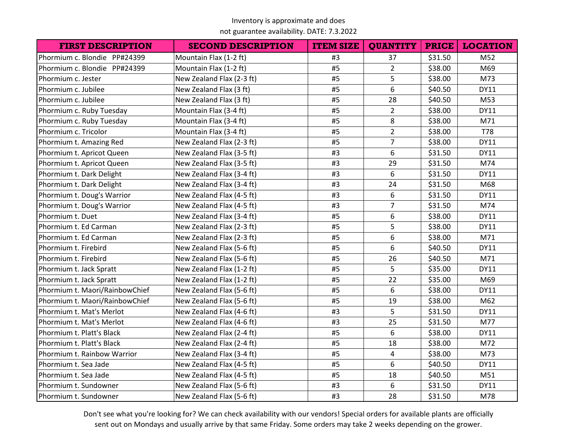not guarantee availability. DATE: 7.3.2022

| <b>FIRST DESCRIPTION</b>       | <b>SECOND DESCRIPTION</b> | <b>ITEM SIZE</b> | <b>QUANTITY</b> | <b>PRICE</b> | <b>LOCATION</b> |
|--------------------------------|---------------------------|------------------|-----------------|--------------|-----------------|
| Phormium c. Blondie PP#24399   | Mountain Flax (1-2 ft)    | #3               | 37              | \$31.50      | M52             |
| Phormium c. Blondie PP#24399   | Mountain Flax (1-2 ft)    | #5               | $\overline{2}$  | \$38.00      | M69             |
| Phormium c. Jester             | New Zealand Flax (2-3 ft) | #5               | 5               | \$38.00      | M73             |
| Phormium c. Jubilee            | New Zealand Flax (3 ft)   | #5               | 6               | \$40.50      | <b>DY11</b>     |
| Phormium c. Jubilee            | New Zealand Flax (3 ft)   | #5               | 28              | \$40.50      | M53             |
| Phormium c. Ruby Tuesday       | Mountain Flax (3-4 ft)    | #5               | $\overline{2}$  | \$38.00      | <b>DY11</b>     |
| Phormium c. Ruby Tuesday       | Mountain Flax (3-4 ft)    | #5               | 8               | \$38.00      | M71             |
| Phormium c. Tricolor           | Mountain Flax (3-4 ft)    | #5               | $\overline{2}$  | \$38.00      | <b>T78</b>      |
| Phormium t. Amazing Red        | New Zealand Flax (2-3 ft) | #5               | $\overline{7}$  | \$38.00      | <b>DY11</b>     |
| Phormium t. Apricot Queen      | New Zealand Flax (3-5 ft) | #3               | 6               | \$31.50      | <b>DY11</b>     |
| Phormium t. Apricot Queen      | New Zealand Flax (3-5 ft) | #3               | 29              | \$31.50      | M74             |
| Phormium t. Dark Delight       | New Zealand Flax (3-4 ft) | #3               | 6               | \$31.50      | <b>DY11</b>     |
| Phormium t. Dark Delight       | New Zealand Flax (3-4 ft) | #3               | 24              | \$31.50      | M68             |
| Phormium t. Doug's Warrior     | New Zealand Flax (4-5 ft) | #3               | 6               | \$31.50      | <b>DY11</b>     |
| Phormium t. Doug's Warrior     | New Zealand Flax (4-5 ft) | #3               | $\overline{7}$  | \$31.50      | M74             |
| Phormium t. Duet               | New Zealand Flax (3-4 ft) | #5               | 6               | \$38.00      | <b>DY11</b>     |
| Phormium t. Ed Carman          | New Zealand Flax (2-3 ft) | #5               | 5               | \$38.00      | <b>DY11</b>     |
| Phormium t. Ed Carman          | New Zealand Flax (2-3 ft) | #5               | 6               | \$38.00      | M71             |
| Phormium t. Firebird           | New Zealand Flax (5-6 ft) | #5               | 6               | \$40.50      | <b>DY11</b>     |
| Phormium t. Firebird           | New Zealand Flax (5-6 ft) | #5               | 26              | \$40.50      | M71             |
| Phormium t. Jack Spratt        | New Zealand Flax (1-2 ft) | #5               | 5               | \$35.00      | <b>DY11</b>     |
| Phormium t. Jack Spratt        | New Zealand Flax (1-2 ft) | #5               | 22              | \$35.00      | M69             |
| Phormium t. Maori/RainbowChief | New Zealand Flax (5-6 ft) | #5               | 6               | \$38.00      | <b>DY11</b>     |
| Phormium t. Maori/RainbowChief | New Zealand Flax (5-6 ft) | #5               | 19              | \$38.00      | M62             |
| Phormium t. Mat's Merlot       | New Zealand Flax (4-6 ft) | #3               | 5               | \$31.50      | <b>DY11</b>     |
| Phormium t. Mat's Merlot       | New Zealand Flax (4-6 ft) | #3               | 25              | \$31.50      | M77             |
| Phormium t. Platt's Black      | New Zealand Flax (2-4 ft) | #5               | 6               | \$38.00      | <b>DY11</b>     |
| Phormium t. Platt's Black      | New Zealand Flax (2-4 ft) | #5               | 18              | \$38.00      | M72             |
| Phormium t. Rainbow Warrior    | New Zealand Flax (3-4 ft) | #5               | 4               | \$38.00      | M73             |
| Phormium t. Sea Jade           | New Zealand Flax (4-5 ft) | #5               | 6               | \$40.50      | <b>DY11</b>     |
| Phormium t. Sea Jade           | New Zealand Flax (4-5 ft) | #5               | 18              | \$40.50      | M51             |
| Phormium t. Sundowner          | New Zealand Flax (5-6 ft) | #3               | 6               | \$31.50      | <b>DY11</b>     |
| Phormium t. Sundowner          | New Zealand Flax (5-6 ft) | #3               | 28              | \$31.50      | M78             |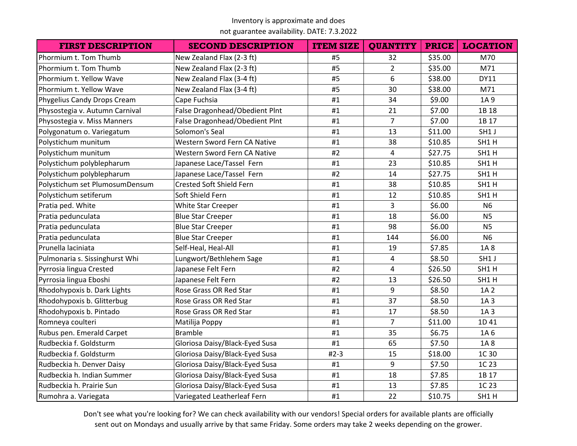not guarantee availability. DATE: 7.3.2022

| <b>FIRST DESCRIPTION</b>       | <b>SECOND DESCRIPTION</b>      | <b>ITEM SIZE</b> | <b>QUANTITY</b> | <b>PRICE</b> | <b>LOCATION</b> |
|--------------------------------|--------------------------------|------------------|-----------------|--------------|-----------------|
| Phormium t. Tom Thumb          | New Zealand Flax (2-3 ft)      | #5               | 32              | \$35.00      | M70             |
| Phormium t. Tom Thumb          | New Zealand Flax (2-3 ft)      | #5               | $\overline{2}$  | \$35.00      | M71             |
| Phormium t. Yellow Wave        | New Zealand Flax (3-4 ft)      | #5               | 6               | \$38.00      | <b>DY11</b>     |
| Phormium t. Yellow Wave        | New Zealand Flax (3-4 ft)      | #5               | 30              | \$38.00      | M71             |
| Phygelius Candy Drops Cream    | Cape Fuchsia                   | #1               | 34              | \$9.00       | 1A 9            |
| Physostegia v. Autumn Carnival | False Dragonhead/Obedient Plnt | #1               | 21              | \$7.00       | 1B 18           |
| Physostegia v. Miss Manners    | False Dragonhead/Obedient Plnt | #1               | $\overline{7}$  | \$7.00       | 1B 17           |
| Polygonatum o. Variegatum      | Solomon's Seal                 | #1               | 13              | \$11.00      | SH1 J           |
| Polystichum munitum            | Western Sword Fern CA Native   | #1               | 38              | \$10.85      | SH1H            |
| Polystichum munitum            | Western Sword Fern CA Native   | #2               | 4               | \$27.75      | SH1H            |
| Polystichum polyblepharum      | Japanese Lace/Tassel Fern      | #1               | 23              | \$10.85      | SH1H            |
| Polystichum polyblepharum      | Japanese Lace/Tassel Fern      | #2               | 14              | \$27.75      | SH1H            |
| Polystichum set PlumosumDensum | Crested Soft Shield Fern       | #1               | 38              | \$10.85      | SH1H            |
| Polystichum setiferum          | Soft Shield Fern               | #1               | 12              | \$10.85      | SH1H            |
| Pratia ped. White              | White Star Creeper             | #1               | $\overline{3}$  | \$6.00       | N <sub>6</sub>  |
| Pratia pedunculata             | <b>Blue Star Creeper</b>       | #1               | 18              | \$6.00       | N <sub>5</sub>  |
| Pratia pedunculata             | <b>Blue Star Creeper</b>       | #1               | 98              | \$6.00       | N <sub>5</sub>  |
| Pratia pedunculata             | <b>Blue Star Creeper</b>       | #1               | 144             | \$6.00       | <b>N6</b>       |
| Prunella laciniata             | Self-Heal, Heal-All            | #1               | 19              | \$7.85       | 1A 8            |
| Pulmonaria s. Sissinghurst Whi | Lungwort/Bethlehem Sage        | #1               | 4               | \$8.50       | SH1 J           |
| Pyrrosia lingua Crested        | Japanese Felt Fern             | #2               | $\overline{4}$  | \$26.50      | SH1H            |
| Pyrrosia lingua Eboshi         | Japanese Felt Fern             | #2               | 13              | \$26.50      | SH1H            |
| Rhodohypoxis b. Dark Lights    | Rose Grass OR Red Star         | #1               | 9               | \$8.50       | 1A 2            |
| Rhodohypoxis b. Glitterbug     | Rose Grass OR Red Star         | #1               | 37              | \$8.50       | 1A 3            |
| Rhodohypoxis b. Pintado        | Rose Grass OR Red Star         | #1               | 17              | \$8.50       | 1A 3            |
| Romneya coulteri               | Matilija Poppy                 | #1               | $\overline{7}$  | \$11.00      | 1D 41           |
| Rubus pen. Emerald Carpet      | <b>Bramble</b>                 | #1               | 35              | \$6.75       | 1A 6            |
| Rudbeckia f. Goldsturm         | Gloriosa Daisy/Black-Eyed Susa | #1               | 65              | \$7.50       | 1A8             |
| Rudbeckia f. Goldsturm         | Gloriosa Daisy/Black-Eyed Susa | $#2-3$           | 15              | \$18.00      | 1C 30           |
| Rudbeckia h. Denver Daisy      | Gloriosa Daisy/Black-Eyed Susa | #1               | 9               | \$7.50       | 1C 23           |
| Rudbeckia h. Indian Summer     | Gloriosa Daisy/Black-Eyed Susa | #1               | 18              | \$7.85       | 1B 17           |
| Rudbeckia h. Prairie Sun       | Gloriosa Daisy/Black-Eyed Susa | #1               | 13              | \$7.85       | 1C 23           |
| Rumohra a. Variegata           | Variegated Leatherleaf Fern    | #1               | 22              | \$10.75      | SH1H            |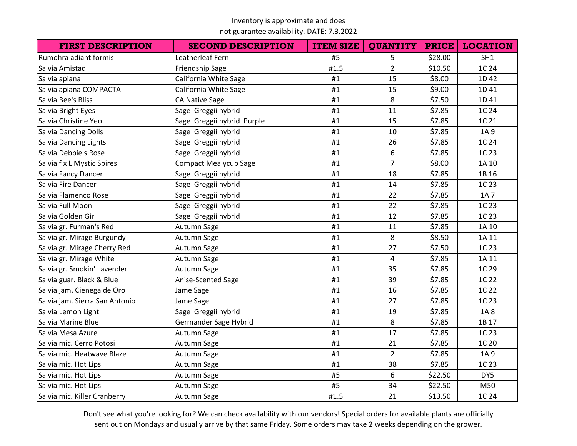not guarantee availability. DATE: 7.3.2022

| <b>FIRST DESCRIPTION</b>       | <b>SECOND DESCRIPTION</b>    | <b>ITEM SIZE</b> | <b>QUANTITY</b> | <b>PRICE</b> | <b>LOCATION</b> |
|--------------------------------|------------------------------|------------------|-----------------|--------------|-----------------|
| Rumohra adiantiformis          | Leatherleaf Fern             | #5               | 5               | \$28.00      | SH1             |
| Salvia Amistad                 | <b>Friendship Sage</b>       | #1.5             | $\overline{2}$  | \$10.50      | 1C 24           |
| Salvia apiana                  | California White Sage        | #1               | 15              | \$8.00       | 1D 42           |
| Salvia apiana COMPACTA         | California White Sage        | #1               | 15              | \$9.00       | 1D 41           |
| Salvia Bee's Bliss             | <b>CA Native Sage</b>        | #1               | 8               | \$7.50       | 1D 41           |
| Salvia Bright Eyes             | Sage Greggii hybrid          | #1               | 11              | \$7.85       | 1C 24           |
| Salvia Christine Yeo           | Sage Greggii hybrid Purple   | #1               | 15              | \$7.85       | 1C 21           |
| <b>Salvia Dancing Dolls</b>    | Sage Greggii hybrid          | #1               | 10              | \$7.85       | 1A 9            |
| Salvia Dancing Lights          | Sage Greggii hybrid          | #1               | 26              | \$7.85       | 1C 24           |
| Salvia Debbie's Rose           | Sage Greggii hybrid          | #1               | 6               | \$7.85       | 1C 23           |
| Salvia f x L Mystic Spires     | <b>Compact Mealycup Sage</b> | #1               | $\overline{7}$  | \$8.00       | 1A 10           |
| Salvia Fancy Dancer            | Sage Greggii hybrid          | #1               | 18              | \$7.85       | 1B 16           |
| Salvia Fire Dancer             | Sage Greggii hybrid          | #1               | 14              | \$7.85       | 1C 23           |
| Salvia Flamenco Rose           | Sage Greggii hybrid          | #1               | 22              | \$7.85       | 1A 7            |
| Salvia Full Moon               | Sage Greggii hybrid          | #1               | 22              | \$7.85       | 1C 23           |
| Salvia Golden Girl             | Sage Greggii hybrid          | #1               | 12              | \$7.85       | 1C 23           |
| Salvia gr. Furman's Red        | Autumn Sage                  | #1               | 11              | \$7.85       | 1A 10           |
| Salvia gr. Mirage Burgundy     | Autumn Sage                  | #1               | 8               | \$8.50       | 1A 11           |
| Salvia gr. Mirage Cherry Red   | Autumn Sage                  | #1               | 27              | \$7.50       | 1C 23           |
| Salvia gr. Mirage White        | Autumn Sage                  | #1               | 4               | \$7.85       | 1A 11           |
| Salvia gr. Smokin' Lavender    | Autumn Sage                  | #1               | 35              | \$7.85       | 1C 29           |
| Salvia guar. Black & Blue      | Anise-Scented Sage           | #1               | 39              | \$7.85       | 1C 22           |
| Salvia jam. Cienega de Oro     | Jame Sage                    | #1               | 16              | \$7.85       | 1C 22           |
| Salvia jam. Sierra San Antonio | Jame Sage                    | #1               | 27              | \$7.85       | 1C 23           |
| Salvia Lemon Light             | Sage Greggii hybrid          | #1               | 19              | \$7.85       | 1A8             |
| Salvia Marine Blue             | Germander Sage Hybrid        | #1               | 8               | \$7.85       | 1B 17           |
| Salvia Mesa Azure              | Autumn Sage                  | #1               | 17              | \$7.85       | 1C 23           |
| Salvia mic. Cerro Potosi       | Autumn Sage                  | #1               | 21              | \$7.85       | 1C 20           |
| Salvia mic. Heatwave Blaze     | Autumn Sage                  | #1               | $\overline{2}$  | \$7.85       | 1A 9            |
| Salvia mic. Hot Lips           | Autumn Sage                  | #1               | 38              | \$7.85       | 1C 23           |
| Salvia mic. Hot Lips           | Autumn Sage                  | #5               | 6               | \$22.50      | DY5             |
| Salvia mic. Hot Lips           | Autumn Sage                  | #5               | 34              | \$22.50      | M50             |
| Salvia mic. Killer Cranberry   | Autumn Sage                  | #1.5             | 21              | \$13.50      | 1C 24           |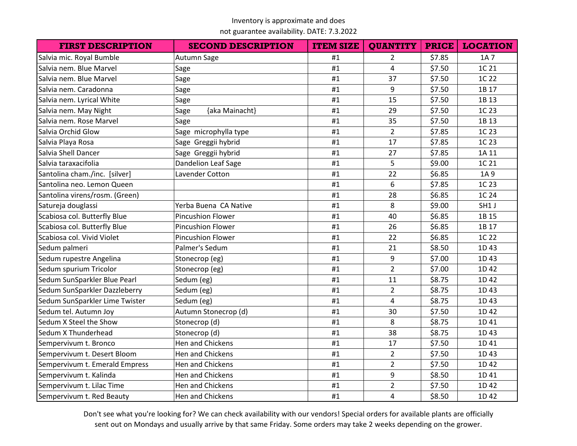not guarantee availability. DATE: 7.3.2022

| <b>FIRST DESCRIPTION</b>       | <b>SECOND DESCRIPTION</b> | <b>ITEM SIZE</b> | <b>QUANTITY</b> | <b>PRICE</b> | <b>LOCATION</b> |
|--------------------------------|---------------------------|------------------|-----------------|--------------|-----------------|
| Salvia mic. Royal Bumble       | Autumn Sage               | #1               | $\overline{2}$  | \$7.85       | 1A 7            |
| Salvia nem. Blue Marvel        | Sage                      | #1               | 4               | \$7.50       | 1C 21           |
| Salvia nem. Blue Marvel        | Sage                      | #1               | 37              | \$7.50       | 1C 22           |
| Salvia nem. Caradonna          | Sage                      | #1               | 9               | \$7.50       | 1B 17           |
| Salvia nem. Lyrical White      | Sage                      | #1               | 15              | \$7.50       | 1B 13           |
| Salvia nem. May Night          | {aka Mainacht}<br>Sage    | #1               | 29              | \$7.50       | 1C 23           |
| Salvia nem. Rose Marvel        | Sage                      | #1               | 35              | \$7.50       | 1B 13           |
| Salvia Orchid Glow             | Sage microphylla type     | #1               | $\overline{2}$  | \$7.85       | 1C 23           |
| Salvia Playa Rosa              | Sage Greggii hybrid       | #1               | 17              | \$7.85       | 1C 23           |
| Salvia Shell Dancer            | Sage Greggii hybrid       | #1               | 27              | \$7.85       | 1A 11           |
| Salvia taraxacifolia           | Dandelion Leaf Sage       | #1               | 5               | \$9.00       | 1C 21           |
| Santolina cham./inc. [silver]  | Lavender Cotton           | #1               | 22              | \$6.85       | 1A 9            |
| Santolina neo. Lemon Queen     |                           | #1               | 6               | \$7.85       | 1C 23           |
| Santolina virens/rosm. (Green) |                           | #1               | 28              | \$6.85       | 1C 24           |
| Satureja douglassi             | Yerba Buena CA Native     | #1               | 8               | \$9.00       | SH1 J           |
| Scabiosa col. Butterfly Blue   | <b>Pincushion Flower</b>  | #1               | 40              | \$6.85       | 1B 15           |
| Scabiosa col. Butterfly Blue   | <b>Pincushion Flower</b>  | #1               | 26              | \$6.85       | 1B 17           |
| Scabiosa col. Vivid Violet     | Pincushion Flower         | #1               | 22              | \$6.85       | 1C 22           |
| Sedum palmeri                  | Palmer's Sedum            | #1               | 21              | \$8.50       | 1D43            |
| Sedum rupestre Angelina        | Stonecrop (eg)            | #1               | 9               | \$7.00       | 1D43            |
| Sedum spurium Tricolor         | Stonecrop (eg)            | #1               | $\overline{2}$  | \$7.00       | 1D 42           |
| Sedum SunSparkler Blue Pearl   | Sedum (eg)                | #1               | 11              | \$8.75       | 1D 42           |
| Sedum SunSparkler Dazzleberry  | Sedum (eg)                | #1               | $\overline{2}$  | \$8.75       | 1D43            |
| Sedum SunSparkler Lime Twister | Sedum (eg)                | #1               | 4               | \$8.75       | 1D43            |
| Sedum tel. Autumn Joy          | Autumn Stonecrop (d)      | #1               | 30              | \$7.50       | 1D 42           |
| Sedum X Steel the Show         | Stonecrop (d)             | #1               | 8               | \$8.75       | 1D 41           |
| Sedum X Thunderhead            | Stonecrop (d)             | #1               | 38              | \$8.75       | 1D43            |
| Sempervivum t. Bronco          | Hen and Chickens          | #1               | 17              | \$7.50       | 1D 41           |
| Sempervivum t. Desert Bloom    | Hen and Chickens          | #1               | $\overline{2}$  | \$7.50       | 1D43            |
| Sempervivum t. Emerald Empress | Hen and Chickens          | #1               | $\overline{2}$  | \$7.50       | 1D 42           |
| Sempervivum t. Kalinda         | Hen and Chickens          | #1               | 9               | \$8.50       | 1D 41           |
| Sempervivum t. Lilac Time      | Hen and Chickens          | #1               | $\overline{2}$  | \$7.50       | 1D 42           |
| Sempervivum t. Red Beauty      | Hen and Chickens          | #1               | $\overline{4}$  | \$8.50       | 1D 42           |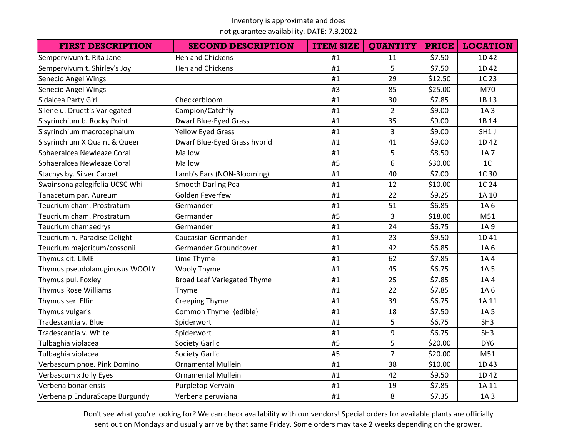not guarantee availability. DATE: 7.3.2022

| <b>FIRST DESCRIPTION</b>       | <b>SECOND DESCRIPTION</b>          | <b>ITEM SIZE</b> | <b>QUANTITY</b> | <b>PRICE</b> | <b>LOCATION</b> |
|--------------------------------|------------------------------------|------------------|-----------------|--------------|-----------------|
| Sempervivum t. Rita Jane       | Hen and Chickens                   | #1               | 11              | \$7.50       | 1D 42           |
| Sempervivum t. Shirley's Joy   | Hen and Chickens                   | #1               | 5               | \$7.50       | 1D 42           |
| Senecio Angel Wings            |                                    | #1               | 29              | \$12.50      | 1C 23           |
| Senecio Angel Wings            |                                    | #3               | 85              | \$25.00      | M70             |
| Sidalcea Party Girl            | Checkerbloom                       | #1               | 30              | \$7.85       | 1B 13           |
| Silene u. Druett's Variegated  | Campion/Catchfly                   | #1               | $\overline{2}$  | \$9.00       | 1A 3            |
| Sisyrinchium b. Rocky Point    | <b>Dwarf Blue-Eyed Grass</b>       | #1               | 35              | \$9.00       | 1B 14           |
| Sisyrinchium macrocephalum     | <b>Yellow Eyed Grass</b>           | #1               | $\overline{3}$  | \$9.00       | SH1 J           |
| Sisyrinchium X Quaint & Queer  | Dwarf Blue-Eyed Grass hybrid       | #1               | 41              | \$9.00       | 1D 42           |
| Sphaeralcea Newleaze Coral     | Mallow                             | #1               | 5               | \$8.50       | 1A 7            |
| Sphaeralcea Newleaze Coral     | Mallow                             | #5               | 6               | \$30.00      | 1 <sup>C</sup>  |
| Stachys by. Silver Carpet      | Lamb's Ears (NON-Blooming)         | #1               | 40              | \$7.00       | 1C 30           |
| Swainsona galegifolia UCSC Whi | Smooth Darling Pea                 | #1               | 12              | \$10.00      | 1C 24           |
| Tanacetum par. Aureum          | Golden Feverfew                    | #1               | 22              | \$9.25       | 1A 10           |
| Teucrium cham. Prostratum      | Germander                          | #1               | 51              | \$6.85       | 1A 6            |
| Teucrium cham. Prostratum      | Germander                          | #5               | $\overline{3}$  | \$18.00      | M51             |
| Teucrium chamaedrys            | Germander                          | #1               | 24              | \$6.75       | 1A 9            |
| Teucrium h. Paradise Delight   | Caucasian Germander                | #1               | 23              | \$9.50       | 1D 41           |
| Teucrium majoricum/cossonii    | Germander Groundcover              | #1               | 42              | \$6.85       | 1A 6            |
| Thymus cit. LIME               | Lime Thyme                         | #1               | 62              | \$7.85       | 1A4             |
| Thymus pseudolanuginosus WOOLY | Wooly Thyme                        | #1               | 45              | \$6.75       | 1A 5            |
| Thymus pul. Foxley             | <b>Broad Leaf Variegated Thyme</b> | #1               | 25              | \$7.85       | 1A4             |
| <b>Thymus Rose Williams</b>    | Thyme                              | #1               | 22              | \$7.85       | 1A 6            |
| Thymus ser. Elfin              | <b>Creeping Thyme</b>              | #1               | 39              | \$6.75       | 1A 11           |
| Thymus vulgaris                | Common Thyme {edible}              | #1               | 18              | \$7.50       | 1A 5            |
| Tradescantia v. Blue           | Spiderwort                         | #1               | 5               | \$6.75       | SH <sub>3</sub> |
| Tradescantia v. White          | Spiderwort                         | #1               | 9               | \$6.75       | SH <sub>3</sub> |
| Tulbaghia violacea             | <b>Society Garlic</b>              | #5               | 5               | \$20.00      | DY6             |
| Tulbaghia violacea             | <b>Society Garlic</b>              | #5               | $\overline{7}$  | \$20.00      | M51             |
| Verbascum phoe. Pink Domino    | <b>Ornamental Mullein</b>          | #1               | 38              | \$10.00      | 1D43            |
| Verbascum x Jolly Eyes         | <b>Ornamental Mullein</b>          | #1               | 42              | \$9.50       | 1D 42           |
| Verbena bonariensis            | Purpletop Vervain                  | #1               | 19              | \$7.85       | 1A 11           |
| Verbena p EnduraScape Burgundy | Verbena peruviana                  | #1               | 8               | \$7.35       | 1A 3            |